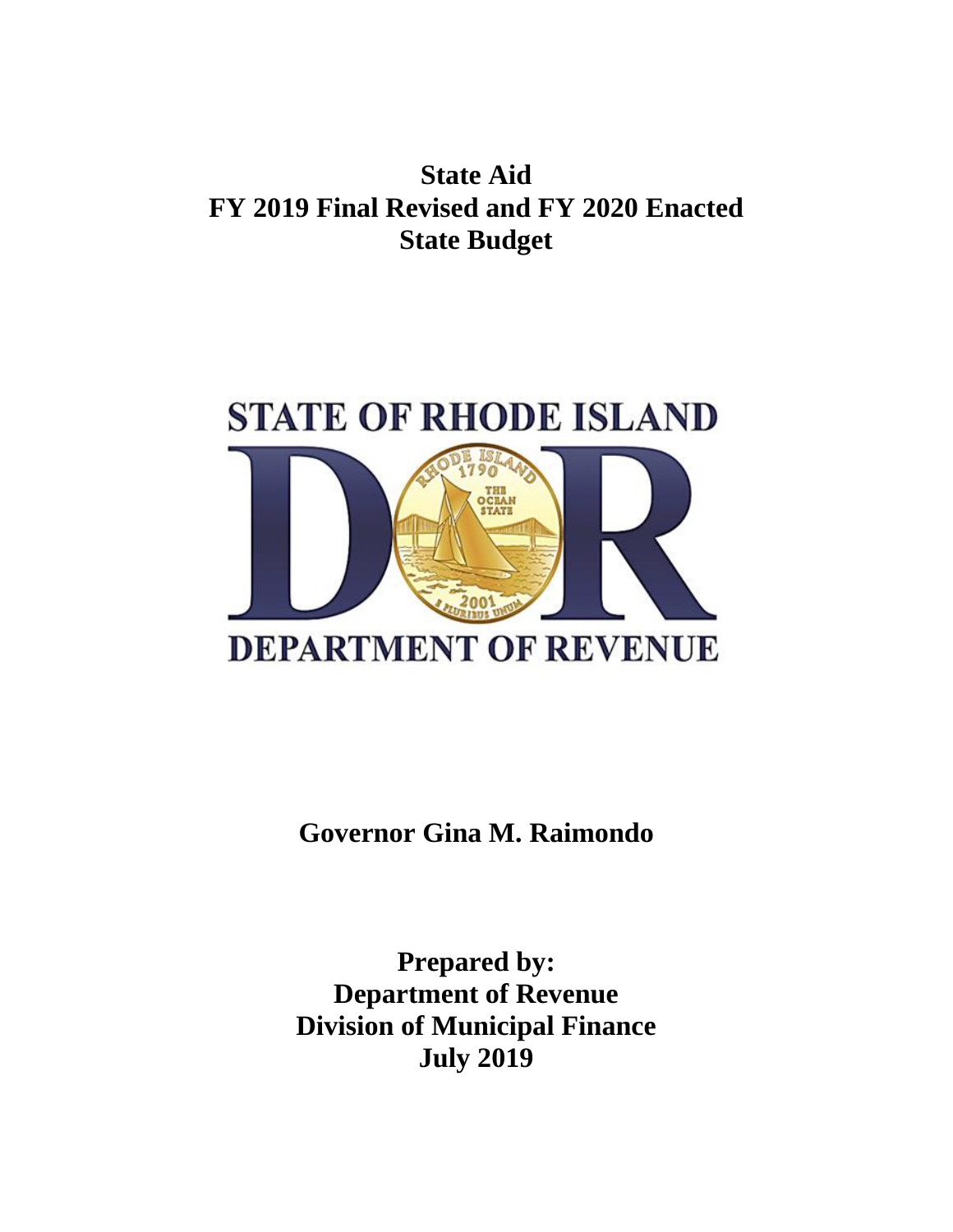## **State Aid FY 2019 Final Revised and FY 2020 Enacted State Budget**



**Governor Gina M. Raimondo**

**Prepared by: Department of Revenue Division of Municipal Finance July 2019**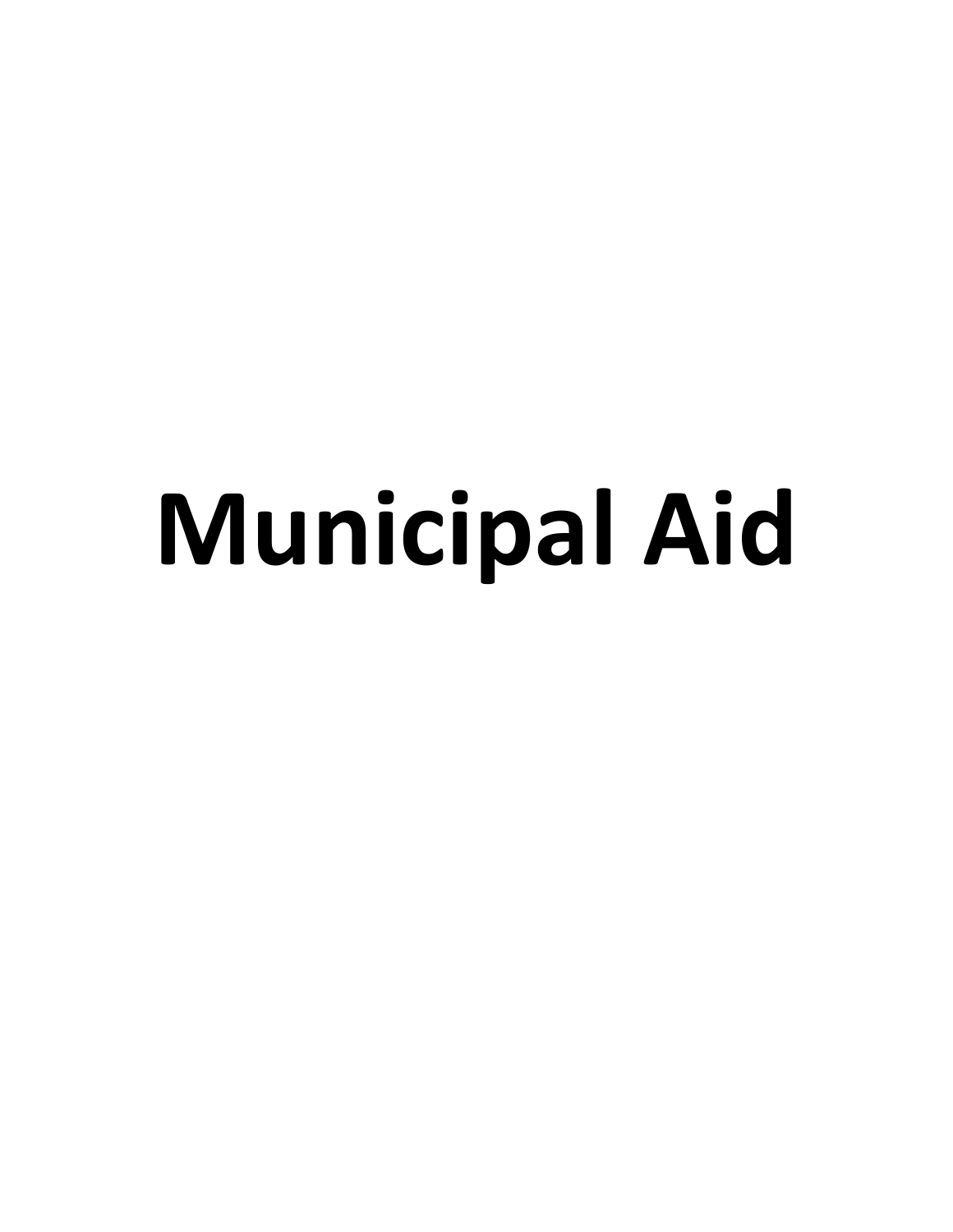## **Municipal Aid**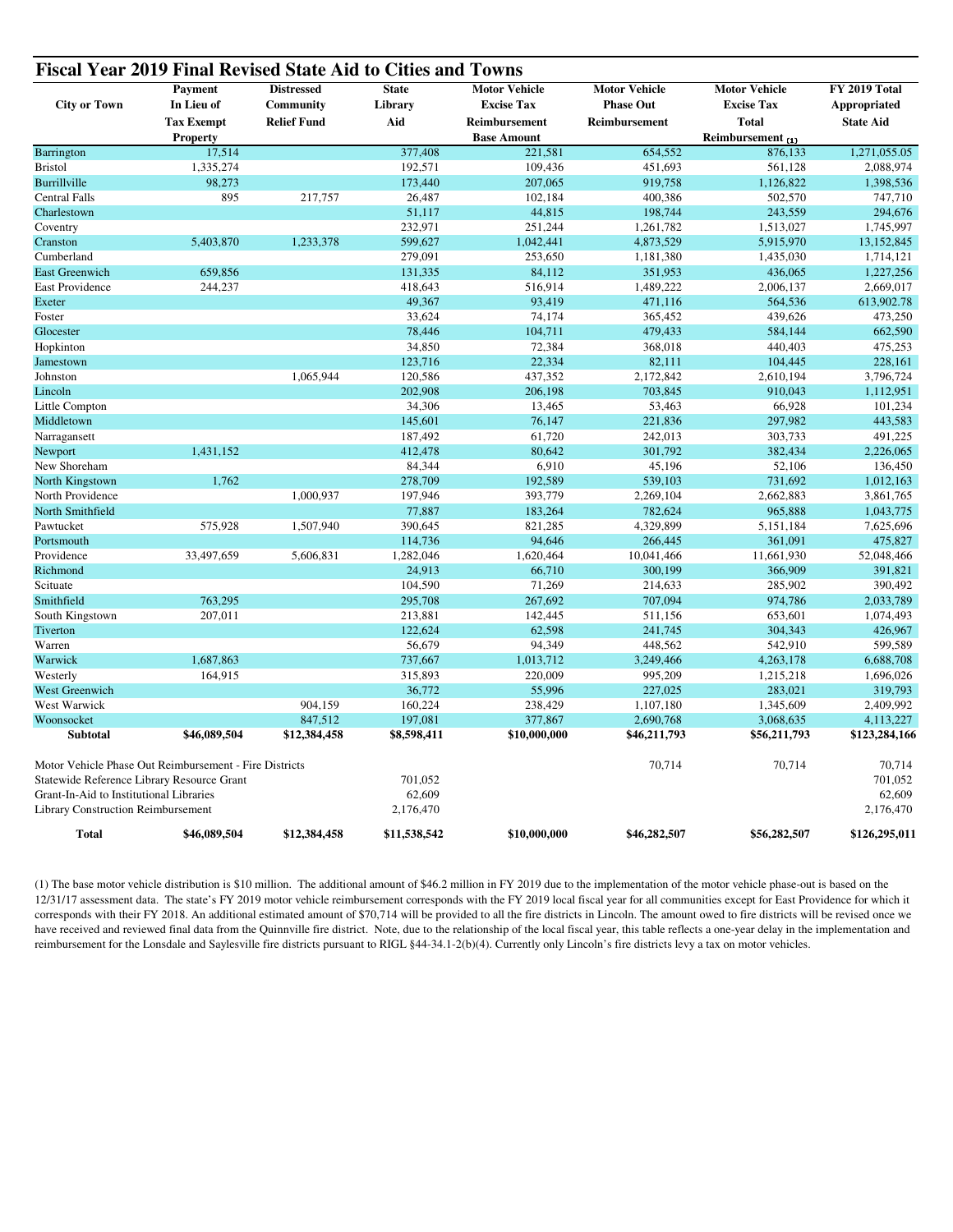| <b>City or Town</b>                                    | <b>Payment</b><br>In Lieu of | <b>Distressed</b><br>Community | <b>State</b><br>Library | <b>Motor Vehicle</b><br><b>Excise Tax</b> | <b>Motor Vehicle</b><br><b>Phase Out</b> | <b>Motor Vehicle</b><br><b>Excise Tax</b> | FY 2019 Total<br>Appropriated |
|--------------------------------------------------------|------------------------------|--------------------------------|-------------------------|-------------------------------------------|------------------------------------------|-------------------------------------------|-------------------------------|
|                                                        | <b>Tax Exempt</b>            | <b>Relief Fund</b>             | Aid                     | Reimbursement                             | Reimbursement                            | <b>Total</b>                              | <b>State Aid</b>              |
|                                                        | <b>Property</b><br>17,514    |                                | 377,408                 | <b>Base Amount</b>                        | 654,552                                  | Reimbursement (1)                         | 1,271,055.05                  |
| Barrington                                             |                              |                                |                         | 221,581                                   |                                          | 876,133                                   |                               |
| <b>Bristol</b>                                         | 1,335,274                    |                                | 192,571                 | 109,436                                   | 451,693                                  | 561,128                                   | 2,088,974                     |
| Burrillville                                           | 98,273                       |                                | 173,440                 | 207,065                                   | 919,758                                  | 1,126,822                                 | 1,398,536                     |
| <b>Central Falls</b>                                   | 895                          | 217,757                        | 26,487                  | 102,184                                   | 400,386                                  | 502,570                                   | 747,710                       |
| Charlestown                                            |                              |                                | 51,117                  | 44,815                                    | 198,744                                  | 243,559                                   | 294,676                       |
| Coventry                                               |                              |                                | 232,971                 | 251,244                                   | 1,261,782                                | 1,513,027                                 | 1,745,997                     |
| Cranston                                               | 5,403,870                    | 1,233,378                      | 599,627                 | 1,042,441                                 | 4,873,529                                | 5,915,970                                 | 13,152,845                    |
| Cumberland                                             |                              |                                | 279,091                 | 253,650                                   | 1,181,380                                | 1,435,030                                 | 1,714,121                     |
| <b>East Greenwich</b>                                  | 659,856                      |                                | 131,335                 | 84,112                                    | 351,953                                  | 436,065                                   | 1,227,256                     |
| East Providence                                        | 244,237                      |                                | 418,643                 | 516,914                                   | 1,489,222                                | 2,006,137                                 | 2,669,017                     |
| Exeter                                                 |                              |                                | 49,367                  | 93,419                                    | 471,116                                  | 564,536                                   | 613,902.78                    |
| Foster                                                 |                              |                                | 33,624                  | 74,174                                    | 365,452                                  | 439,626                                   | 473,250                       |
| Glocester                                              |                              |                                | 78,446                  | 104,711                                   | 479,433                                  | 584,144                                   | 662,590                       |
| Hopkinton                                              |                              |                                | 34,850                  | 72,384                                    | 368,018                                  | 440,403                                   | 475,253                       |
| Jamestown                                              |                              |                                | 123,716                 | 22,334                                    | 82,111                                   | 104,445                                   | 228,161                       |
| Johnston                                               |                              | 1,065,944                      | 120,586                 | 437,352                                   | 2,172,842                                | 2,610,194                                 | 3,796,724                     |
| Lincoln                                                |                              |                                | 202,908                 | 206,198                                   | 703,845                                  | 910,043                                   | 1,112,951                     |
| Little Compton                                         |                              |                                | 34,306                  | 13,465                                    | 53,463                                   | 66,928                                    | 101,234                       |
| Middletown                                             |                              |                                | 145,601                 | 76,147                                    | 221,836                                  | 297,982                                   | 443,583                       |
| Narragansett                                           |                              |                                | 187,492                 | 61,720                                    | 242,013                                  | 303,733                                   | 491,225                       |
| Newport                                                | 1,431,152                    |                                | 412,478                 | 80,642                                    | 301,792                                  | 382,434                                   | 2,226,065                     |
| New Shoreham                                           |                              |                                | 84,344                  | 6,910                                     | 45,196                                   | 52,106                                    | 136,450                       |
| North Kingstown                                        | 1,762                        |                                | 278,709                 | 192,589                                   | 539,103                                  | 731,692                                   | 1,012,163                     |
| North Providence                                       |                              | 1,000,937                      | 197,946                 | 393,779                                   | 2,269,104                                | 2,662,883                                 | 3,861,765                     |
| North Smithfield                                       |                              |                                | 77,887                  | 183,264                                   | 782,624                                  | 965,888                                   | 1,043,775                     |
| Pawtucket                                              | 575,928                      | 1,507,940                      | 390,645                 | 821,285                                   | 4,329,899                                | 5,151,184                                 | 7,625,696                     |
| Portsmouth                                             |                              |                                | 114,736                 | 94,646                                    | 266,445                                  | 361,091                                   | 475,827                       |
| Providence                                             | 33,497,659                   | 5,606,831                      | 1,282,046               | 1,620,464                                 | 10,041,466                               | 11,661,930                                | 52,048,466                    |
| Richmond                                               |                              |                                | 24,913                  | 66,710                                    | 300,199                                  | 366,909                                   | 391,821                       |
| Scituate                                               |                              |                                | 104,590                 | 71,269                                    | 214,633                                  | 285,902                                   | 390,492                       |
| Smithfield                                             | 763,295                      |                                | 295,708                 | 267,692                                   | 707,094                                  | 974,786                                   | 2,033,789                     |
| South Kingstown                                        | 207,011                      |                                | 213,881                 | 142,445                                   | 511,156                                  | 653,601                                   | 1,074,493                     |
| Tiverton                                               |                              |                                | 122,624                 | 62,598                                    | 241,745                                  | 304,343                                   | 426,967                       |
| Warren                                                 |                              |                                | 56,679                  | 94,349                                    | 448,562                                  | 542,910                                   | 599,589                       |
| Warwick                                                | 1,687,863                    |                                | 737,667                 | 1,013,712                                 | 3,249,466                                | 4,263,178                                 | 6,688,708                     |
| Westerly                                               | 164,915                      |                                | 315,893                 | 220,009                                   | 995,209                                  | 1,215,218                                 | 1,696,026                     |
| West Greenwich                                         |                              |                                | 36,772                  | 55,996                                    | 227,025                                  | 283,021                                   | 319,793                       |
| West Warwick                                           |                              | 904,159                        | 160,224                 | 238,429                                   | 1,107,180                                | 1,345,609                                 | 2,409,992                     |
| Woonsocket                                             |                              | 847,512                        | 197,081                 | 377,867                                   | 2,690,768                                | 3,068,635                                 | 4,113,227                     |
| Subtotal                                               | \$46,089,504                 | \$12,384,458                   | \$8,598,411             | \$10,000,000                              | \$46,211,793                             | \$56,211,793                              | \$123,284,166                 |
|                                                        |                              |                                |                         |                                           |                                          |                                           |                               |
| Motor Vehicle Phase Out Reimbursement - Fire Districts |                              |                                |                         |                                           | 70,714                                   | 70,714                                    | 70,714                        |
| Statewide Reference Library Resource Grant             |                              |                                | 701,052                 |                                           |                                          |                                           | 701,052                       |
| Grant-In-Aid to Institutional Libraries                |                              |                                | 62,609                  |                                           |                                          |                                           | 62,609                        |
| <b>Library Construction Reimbursement</b>              |                              |                                | 2,176,470               |                                           |                                          |                                           | 2,176,470                     |
| <b>Total</b>                                           | \$46,089,504                 | \$12,384,458                   | \$11,538,542            | \$10,000,000                              | \$46,282,507                             | \$56,282,507                              | \$126,295,011                 |

(1) The base motor vehicle distribution is \$10 million. The additional amount of \$46.2 million in FY 2019 due to the implementation of the motor vehicle phase-out is based on the 12/31/17 assessment data. The state's FY 2019 motor vehicle reimbursement corresponds with the FY 2019 local fiscal year for all communities except for East Providence for which it corresponds with their FY 2018. An additional estimated amount of \$70,714 will be provided to all the fire districts in Lincoln. The amount owed to fire districts will be revised once we have received and reviewed final data from the Quinnville fire district. Note, due to the relationship of the local fiscal year, this table reflects a one-year delay in the implementation and reimbursement for the Lonsdale and Saylesville fire districts pursuant to RIGL §44-34.1-2(b)(4). Currently only Lincoln's fire districts levy a tax on motor vehicles.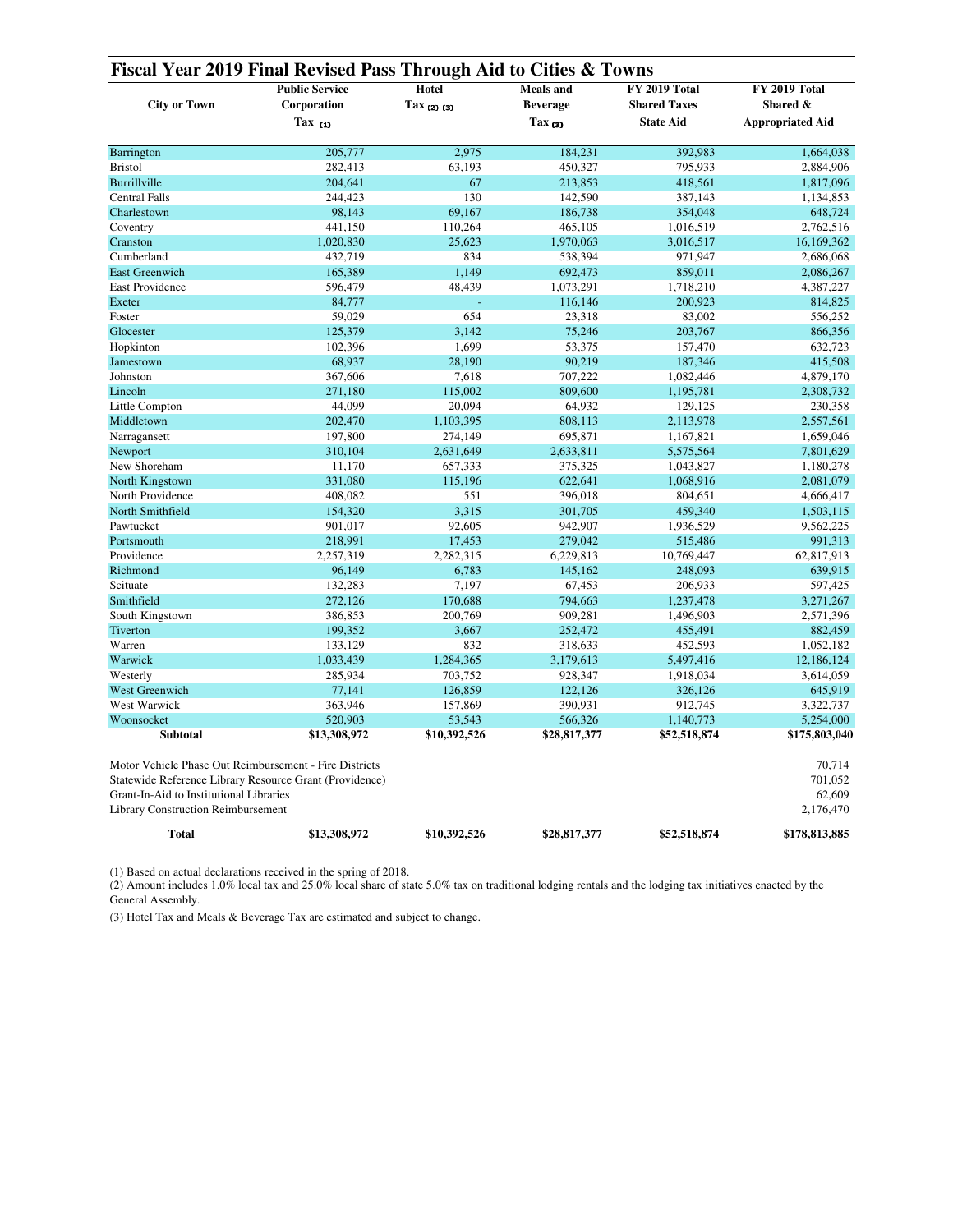| <b>Public Service</b><br>Hotel<br>FY 2019 Total<br>FY 2019 Total<br><b>Meals</b> and<br><b>City or Town</b><br><b>Shared Taxes</b><br>Corporation<br>$\text{Tax}_{(2)(3)}$<br><b>Beverage</b><br>Shared &<br>$\text{Tax}_{(3)}$<br><b>State Aid</b><br><b>Appropriated Aid</b><br>$\text{Tax}_{(1)}$<br>205,777<br>2.975<br>184,231<br>392,983<br>Barrington<br>1,664,038<br>282,413<br>795,933<br><b>Bristol</b><br>63,193<br>450,327<br>2,884,906<br>204.641<br><b>Burrillville</b><br>67<br>213,853<br>418,561<br>1,817,096<br>130<br><b>Central Falls</b><br>244,423<br>142,590<br>387,143<br>1,134,853<br>Charlestown<br>98,143<br>69.167<br>186,738<br>354,048<br>648,724<br>Coventry<br>441,150<br>110,264<br>465,105<br>1,016,519<br>2,762,516<br>Cranston<br>1,020,830<br>25,623<br>1,970,063<br>3,016,517<br>16,169,362<br>Cumberland<br>432,719<br>834<br>538,394<br>971,947<br>2,686,068<br>165,389<br>1,149<br>859,011<br>2,086,267<br><b>East Greenwich</b><br>692,473<br>East Providence<br>596,479<br>48,439<br>1,073,291<br>1,718,210<br>4,387,227<br>Exeter<br>84,777<br>116,146<br>200,923<br>814,825<br>59,029<br>654<br>Foster<br>23,318<br>83,002<br>556,252<br>125,379<br>Glocester<br>3,142<br>75,246<br>203,767<br>866,356<br>Hopkinton<br>102,396<br>1,699<br>53,375<br>632,723<br>157,470<br>Jamestown<br>68,937<br>28.190<br>90,219<br>187,346<br>415,508<br>Johnston<br>367,606<br>7,618<br>707,222<br>1,082,446<br>4,879,170<br>Lincoln<br>271,180<br>115,002<br>809,600<br>1,195,781<br>2,308,732<br>44,099<br>Little Compton<br>20,094<br>64,932<br>129,125<br>230,358<br>Middletown<br>202,470<br>1,103,395<br>808,113<br>2,113,978<br>2,557,561<br>197,800<br>274,149<br>1,659,046<br>Narragansett<br>695,871<br>1,167,821<br>Newport<br>310,104<br>2,631,649<br>2,633,811<br>5,575,564<br>7,801,629<br>New Shoreham<br>11,170<br>375,325<br>657,333<br>1,043,827<br>1,180,278<br>331,080<br>115,196<br>622,641<br>1,068,916<br>North Kingstown<br>2,081,079<br>North Providence<br>408,082<br>551<br>396,018<br>4,666,417<br>804,651<br>North Smithfield<br>154,320<br>3,315<br>459,340<br>301,705<br>1,503,115<br>Pawtucket<br>901,017<br>92,605<br>942,907<br>9,562,225<br>1,936,529<br>218,991<br>Portsmouth<br>17,453<br>279,042<br>515,486<br>991,313<br>Providence<br>2,257,319<br>2,282,315<br>6,229,813<br>10,769,447<br>62,817,913<br>639,915<br>Richmond<br>96,149<br>6,783<br>145,162<br>248,093<br>Scituate<br>132,283<br>7,197<br>67,453<br>206,933<br>597,425<br>Smithfield<br>272,126<br>170,688<br>794,663<br>1,237,478<br>3,271,267<br>South Kingstown<br>386,853<br>200,769<br>909,281<br>1,496,903<br>2,571,396<br>199,352<br>3,667<br>455,491<br>882,459<br>Tiverton<br>252,472<br>Warren<br>133,129<br>832<br>318,633<br>452,593<br>1,052,182<br>1,284,365<br>Warwick<br>1,033,439<br>3,179,613<br>5,497,416<br>12,186,124<br>Westerly<br>285,934<br>703,752<br>928,347<br>1,918,034<br>3,614,059<br>West Greenwich<br>77,141<br>126,859<br>122,126<br>326,126<br>645,919<br>West Warwick<br>363,946<br>157,869<br>3,322,737<br>390,931<br>912.745<br>520,903<br>53,543<br>5,254,000<br>Woonsocket<br>566,326<br>1,140,773<br><b>Subtotal</b><br>\$13,308,972<br>\$10,392,526<br>\$28,817,377<br>\$52,518,874<br>\$175,803,040<br>Motor Vehicle Phase Out Reimbursement - Fire Districts<br>70,714<br>Statewide Reference Library Resource Grant (Providence)<br>701,052<br>62,609<br>Grant-In-Aid to Institutional Libraries<br>2,176,470<br><b>Library Construction Reimbursement</b><br>\$178,813,885<br><b>Total</b><br>\$13,308,972<br>\$10,392,526<br>\$28,817,377<br>\$52,518,874 | Fiscal Year 2019 Final Revised Pass Through Aid to Cities & Towns |  |  |  |  |  |  |  |  |  |  |
|--------------------------------------------------------------------------------------------------------------------------------------------------------------------------------------------------------------------------------------------------------------------------------------------------------------------------------------------------------------------------------------------------------------------------------------------------------------------------------------------------------------------------------------------------------------------------------------------------------------------------------------------------------------------------------------------------------------------------------------------------------------------------------------------------------------------------------------------------------------------------------------------------------------------------------------------------------------------------------------------------------------------------------------------------------------------------------------------------------------------------------------------------------------------------------------------------------------------------------------------------------------------------------------------------------------------------------------------------------------------------------------------------------------------------------------------------------------------------------------------------------------------------------------------------------------------------------------------------------------------------------------------------------------------------------------------------------------------------------------------------------------------------------------------------------------------------------------------------------------------------------------------------------------------------------------------------------------------------------------------------------------------------------------------------------------------------------------------------------------------------------------------------------------------------------------------------------------------------------------------------------------------------------------------------------------------------------------------------------------------------------------------------------------------------------------------------------------------------------------------------------------------------------------------------------------------------------------------------------------------------------------------------------------------------------------------------------------------------------------------------------------------------------------------------------------------------------------------------------------------------------------------------------------------------------------------------------------------------------------------------------------------------------------------------------------------------------------------------------------------------------------------------------------------------------------------------------------------------------------------------------------------------------------------------------------------------------------------------------------------------------------------------------------------------------------------------------------------------------------------------------------------------------------------------------------------------------------------------------------------------------------------------|-------------------------------------------------------------------|--|--|--|--|--|--|--|--|--|--|
|                                                                                                                                                                                                                                                                                                                                                                                                                                                                                                                                                                                                                                                                                                                                                                                                                                                                                                                                                                                                                                                                                                                                                                                                                                                                                                                                                                                                                                                                                                                                                                                                                                                                                                                                                                                                                                                                                                                                                                                                                                                                                                                                                                                                                                                                                                                                                                                                                                                                                                                                                                                                                                                                                                                                                                                                                                                                                                                                                                                                                                                                                                                                                                                                                                                                                                                                                                                                                                                                                                                                                                                                                                                  |                                                                   |  |  |  |  |  |  |  |  |  |  |
|                                                                                                                                                                                                                                                                                                                                                                                                                                                                                                                                                                                                                                                                                                                                                                                                                                                                                                                                                                                                                                                                                                                                                                                                                                                                                                                                                                                                                                                                                                                                                                                                                                                                                                                                                                                                                                                                                                                                                                                                                                                                                                                                                                                                                                                                                                                                                                                                                                                                                                                                                                                                                                                                                                                                                                                                                                                                                                                                                                                                                                                                                                                                                                                                                                                                                                                                                                                                                                                                                                                                                                                                                                                  |                                                                   |  |  |  |  |  |  |  |  |  |  |
|                                                                                                                                                                                                                                                                                                                                                                                                                                                                                                                                                                                                                                                                                                                                                                                                                                                                                                                                                                                                                                                                                                                                                                                                                                                                                                                                                                                                                                                                                                                                                                                                                                                                                                                                                                                                                                                                                                                                                                                                                                                                                                                                                                                                                                                                                                                                                                                                                                                                                                                                                                                                                                                                                                                                                                                                                                                                                                                                                                                                                                                                                                                                                                                                                                                                                                                                                                                                                                                                                                                                                                                                                                                  |                                                                   |  |  |  |  |  |  |  |  |  |  |
|                                                                                                                                                                                                                                                                                                                                                                                                                                                                                                                                                                                                                                                                                                                                                                                                                                                                                                                                                                                                                                                                                                                                                                                                                                                                                                                                                                                                                                                                                                                                                                                                                                                                                                                                                                                                                                                                                                                                                                                                                                                                                                                                                                                                                                                                                                                                                                                                                                                                                                                                                                                                                                                                                                                                                                                                                                                                                                                                                                                                                                                                                                                                                                                                                                                                                                                                                                                                                                                                                                                                                                                                                                                  |                                                                   |  |  |  |  |  |  |  |  |  |  |
|                                                                                                                                                                                                                                                                                                                                                                                                                                                                                                                                                                                                                                                                                                                                                                                                                                                                                                                                                                                                                                                                                                                                                                                                                                                                                                                                                                                                                                                                                                                                                                                                                                                                                                                                                                                                                                                                                                                                                                                                                                                                                                                                                                                                                                                                                                                                                                                                                                                                                                                                                                                                                                                                                                                                                                                                                                                                                                                                                                                                                                                                                                                                                                                                                                                                                                                                                                                                                                                                                                                                                                                                                                                  |                                                                   |  |  |  |  |  |  |  |  |  |  |
|                                                                                                                                                                                                                                                                                                                                                                                                                                                                                                                                                                                                                                                                                                                                                                                                                                                                                                                                                                                                                                                                                                                                                                                                                                                                                                                                                                                                                                                                                                                                                                                                                                                                                                                                                                                                                                                                                                                                                                                                                                                                                                                                                                                                                                                                                                                                                                                                                                                                                                                                                                                                                                                                                                                                                                                                                                                                                                                                                                                                                                                                                                                                                                                                                                                                                                                                                                                                                                                                                                                                                                                                                                                  |                                                                   |  |  |  |  |  |  |  |  |  |  |
|                                                                                                                                                                                                                                                                                                                                                                                                                                                                                                                                                                                                                                                                                                                                                                                                                                                                                                                                                                                                                                                                                                                                                                                                                                                                                                                                                                                                                                                                                                                                                                                                                                                                                                                                                                                                                                                                                                                                                                                                                                                                                                                                                                                                                                                                                                                                                                                                                                                                                                                                                                                                                                                                                                                                                                                                                                                                                                                                                                                                                                                                                                                                                                                                                                                                                                                                                                                                                                                                                                                                                                                                                                                  |                                                                   |  |  |  |  |  |  |  |  |  |  |
|                                                                                                                                                                                                                                                                                                                                                                                                                                                                                                                                                                                                                                                                                                                                                                                                                                                                                                                                                                                                                                                                                                                                                                                                                                                                                                                                                                                                                                                                                                                                                                                                                                                                                                                                                                                                                                                                                                                                                                                                                                                                                                                                                                                                                                                                                                                                                                                                                                                                                                                                                                                                                                                                                                                                                                                                                                                                                                                                                                                                                                                                                                                                                                                                                                                                                                                                                                                                                                                                                                                                                                                                                                                  |                                                                   |  |  |  |  |  |  |  |  |  |  |
|                                                                                                                                                                                                                                                                                                                                                                                                                                                                                                                                                                                                                                                                                                                                                                                                                                                                                                                                                                                                                                                                                                                                                                                                                                                                                                                                                                                                                                                                                                                                                                                                                                                                                                                                                                                                                                                                                                                                                                                                                                                                                                                                                                                                                                                                                                                                                                                                                                                                                                                                                                                                                                                                                                                                                                                                                                                                                                                                                                                                                                                                                                                                                                                                                                                                                                                                                                                                                                                                                                                                                                                                                                                  |                                                                   |  |  |  |  |  |  |  |  |  |  |
|                                                                                                                                                                                                                                                                                                                                                                                                                                                                                                                                                                                                                                                                                                                                                                                                                                                                                                                                                                                                                                                                                                                                                                                                                                                                                                                                                                                                                                                                                                                                                                                                                                                                                                                                                                                                                                                                                                                                                                                                                                                                                                                                                                                                                                                                                                                                                                                                                                                                                                                                                                                                                                                                                                                                                                                                                                                                                                                                                                                                                                                                                                                                                                                                                                                                                                                                                                                                                                                                                                                                                                                                                                                  |                                                                   |  |  |  |  |  |  |  |  |  |  |
|                                                                                                                                                                                                                                                                                                                                                                                                                                                                                                                                                                                                                                                                                                                                                                                                                                                                                                                                                                                                                                                                                                                                                                                                                                                                                                                                                                                                                                                                                                                                                                                                                                                                                                                                                                                                                                                                                                                                                                                                                                                                                                                                                                                                                                                                                                                                                                                                                                                                                                                                                                                                                                                                                                                                                                                                                                                                                                                                                                                                                                                                                                                                                                                                                                                                                                                                                                                                                                                                                                                                                                                                                                                  |                                                                   |  |  |  |  |  |  |  |  |  |  |
|                                                                                                                                                                                                                                                                                                                                                                                                                                                                                                                                                                                                                                                                                                                                                                                                                                                                                                                                                                                                                                                                                                                                                                                                                                                                                                                                                                                                                                                                                                                                                                                                                                                                                                                                                                                                                                                                                                                                                                                                                                                                                                                                                                                                                                                                                                                                                                                                                                                                                                                                                                                                                                                                                                                                                                                                                                                                                                                                                                                                                                                                                                                                                                                                                                                                                                                                                                                                                                                                                                                                                                                                                                                  |                                                                   |  |  |  |  |  |  |  |  |  |  |
|                                                                                                                                                                                                                                                                                                                                                                                                                                                                                                                                                                                                                                                                                                                                                                                                                                                                                                                                                                                                                                                                                                                                                                                                                                                                                                                                                                                                                                                                                                                                                                                                                                                                                                                                                                                                                                                                                                                                                                                                                                                                                                                                                                                                                                                                                                                                                                                                                                                                                                                                                                                                                                                                                                                                                                                                                                                                                                                                                                                                                                                                                                                                                                                                                                                                                                                                                                                                                                                                                                                                                                                                                                                  |                                                                   |  |  |  |  |  |  |  |  |  |  |
|                                                                                                                                                                                                                                                                                                                                                                                                                                                                                                                                                                                                                                                                                                                                                                                                                                                                                                                                                                                                                                                                                                                                                                                                                                                                                                                                                                                                                                                                                                                                                                                                                                                                                                                                                                                                                                                                                                                                                                                                                                                                                                                                                                                                                                                                                                                                                                                                                                                                                                                                                                                                                                                                                                                                                                                                                                                                                                                                                                                                                                                                                                                                                                                                                                                                                                                                                                                                                                                                                                                                                                                                                                                  |                                                                   |  |  |  |  |  |  |  |  |  |  |
|                                                                                                                                                                                                                                                                                                                                                                                                                                                                                                                                                                                                                                                                                                                                                                                                                                                                                                                                                                                                                                                                                                                                                                                                                                                                                                                                                                                                                                                                                                                                                                                                                                                                                                                                                                                                                                                                                                                                                                                                                                                                                                                                                                                                                                                                                                                                                                                                                                                                                                                                                                                                                                                                                                                                                                                                                                                                                                                                                                                                                                                                                                                                                                                                                                                                                                                                                                                                                                                                                                                                                                                                                                                  |                                                                   |  |  |  |  |  |  |  |  |  |  |
|                                                                                                                                                                                                                                                                                                                                                                                                                                                                                                                                                                                                                                                                                                                                                                                                                                                                                                                                                                                                                                                                                                                                                                                                                                                                                                                                                                                                                                                                                                                                                                                                                                                                                                                                                                                                                                                                                                                                                                                                                                                                                                                                                                                                                                                                                                                                                                                                                                                                                                                                                                                                                                                                                                                                                                                                                                                                                                                                                                                                                                                                                                                                                                                                                                                                                                                                                                                                                                                                                                                                                                                                                                                  |                                                                   |  |  |  |  |  |  |  |  |  |  |
|                                                                                                                                                                                                                                                                                                                                                                                                                                                                                                                                                                                                                                                                                                                                                                                                                                                                                                                                                                                                                                                                                                                                                                                                                                                                                                                                                                                                                                                                                                                                                                                                                                                                                                                                                                                                                                                                                                                                                                                                                                                                                                                                                                                                                                                                                                                                                                                                                                                                                                                                                                                                                                                                                                                                                                                                                                                                                                                                                                                                                                                                                                                                                                                                                                                                                                                                                                                                                                                                                                                                                                                                                                                  |                                                                   |  |  |  |  |  |  |  |  |  |  |
|                                                                                                                                                                                                                                                                                                                                                                                                                                                                                                                                                                                                                                                                                                                                                                                                                                                                                                                                                                                                                                                                                                                                                                                                                                                                                                                                                                                                                                                                                                                                                                                                                                                                                                                                                                                                                                                                                                                                                                                                                                                                                                                                                                                                                                                                                                                                                                                                                                                                                                                                                                                                                                                                                                                                                                                                                                                                                                                                                                                                                                                                                                                                                                                                                                                                                                                                                                                                                                                                                                                                                                                                                                                  |                                                                   |  |  |  |  |  |  |  |  |  |  |
|                                                                                                                                                                                                                                                                                                                                                                                                                                                                                                                                                                                                                                                                                                                                                                                                                                                                                                                                                                                                                                                                                                                                                                                                                                                                                                                                                                                                                                                                                                                                                                                                                                                                                                                                                                                                                                                                                                                                                                                                                                                                                                                                                                                                                                                                                                                                                                                                                                                                                                                                                                                                                                                                                                                                                                                                                                                                                                                                                                                                                                                                                                                                                                                                                                                                                                                                                                                                                                                                                                                                                                                                                                                  |                                                                   |  |  |  |  |  |  |  |  |  |  |
|                                                                                                                                                                                                                                                                                                                                                                                                                                                                                                                                                                                                                                                                                                                                                                                                                                                                                                                                                                                                                                                                                                                                                                                                                                                                                                                                                                                                                                                                                                                                                                                                                                                                                                                                                                                                                                                                                                                                                                                                                                                                                                                                                                                                                                                                                                                                                                                                                                                                                                                                                                                                                                                                                                                                                                                                                                                                                                                                                                                                                                                                                                                                                                                                                                                                                                                                                                                                                                                                                                                                                                                                                                                  |                                                                   |  |  |  |  |  |  |  |  |  |  |
|                                                                                                                                                                                                                                                                                                                                                                                                                                                                                                                                                                                                                                                                                                                                                                                                                                                                                                                                                                                                                                                                                                                                                                                                                                                                                                                                                                                                                                                                                                                                                                                                                                                                                                                                                                                                                                                                                                                                                                                                                                                                                                                                                                                                                                                                                                                                                                                                                                                                                                                                                                                                                                                                                                                                                                                                                                                                                                                                                                                                                                                                                                                                                                                                                                                                                                                                                                                                                                                                                                                                                                                                                                                  |                                                                   |  |  |  |  |  |  |  |  |  |  |
|                                                                                                                                                                                                                                                                                                                                                                                                                                                                                                                                                                                                                                                                                                                                                                                                                                                                                                                                                                                                                                                                                                                                                                                                                                                                                                                                                                                                                                                                                                                                                                                                                                                                                                                                                                                                                                                                                                                                                                                                                                                                                                                                                                                                                                                                                                                                                                                                                                                                                                                                                                                                                                                                                                                                                                                                                                                                                                                                                                                                                                                                                                                                                                                                                                                                                                                                                                                                                                                                                                                                                                                                                                                  |                                                                   |  |  |  |  |  |  |  |  |  |  |
|                                                                                                                                                                                                                                                                                                                                                                                                                                                                                                                                                                                                                                                                                                                                                                                                                                                                                                                                                                                                                                                                                                                                                                                                                                                                                                                                                                                                                                                                                                                                                                                                                                                                                                                                                                                                                                                                                                                                                                                                                                                                                                                                                                                                                                                                                                                                                                                                                                                                                                                                                                                                                                                                                                                                                                                                                                                                                                                                                                                                                                                                                                                                                                                                                                                                                                                                                                                                                                                                                                                                                                                                                                                  |                                                                   |  |  |  |  |  |  |  |  |  |  |
|                                                                                                                                                                                                                                                                                                                                                                                                                                                                                                                                                                                                                                                                                                                                                                                                                                                                                                                                                                                                                                                                                                                                                                                                                                                                                                                                                                                                                                                                                                                                                                                                                                                                                                                                                                                                                                                                                                                                                                                                                                                                                                                                                                                                                                                                                                                                                                                                                                                                                                                                                                                                                                                                                                                                                                                                                                                                                                                                                                                                                                                                                                                                                                                                                                                                                                                                                                                                                                                                                                                                                                                                                                                  |                                                                   |  |  |  |  |  |  |  |  |  |  |
|                                                                                                                                                                                                                                                                                                                                                                                                                                                                                                                                                                                                                                                                                                                                                                                                                                                                                                                                                                                                                                                                                                                                                                                                                                                                                                                                                                                                                                                                                                                                                                                                                                                                                                                                                                                                                                                                                                                                                                                                                                                                                                                                                                                                                                                                                                                                                                                                                                                                                                                                                                                                                                                                                                                                                                                                                                                                                                                                                                                                                                                                                                                                                                                                                                                                                                                                                                                                                                                                                                                                                                                                                                                  |                                                                   |  |  |  |  |  |  |  |  |  |  |
|                                                                                                                                                                                                                                                                                                                                                                                                                                                                                                                                                                                                                                                                                                                                                                                                                                                                                                                                                                                                                                                                                                                                                                                                                                                                                                                                                                                                                                                                                                                                                                                                                                                                                                                                                                                                                                                                                                                                                                                                                                                                                                                                                                                                                                                                                                                                                                                                                                                                                                                                                                                                                                                                                                                                                                                                                                                                                                                                                                                                                                                                                                                                                                                                                                                                                                                                                                                                                                                                                                                                                                                                                                                  |                                                                   |  |  |  |  |  |  |  |  |  |  |
|                                                                                                                                                                                                                                                                                                                                                                                                                                                                                                                                                                                                                                                                                                                                                                                                                                                                                                                                                                                                                                                                                                                                                                                                                                                                                                                                                                                                                                                                                                                                                                                                                                                                                                                                                                                                                                                                                                                                                                                                                                                                                                                                                                                                                                                                                                                                                                                                                                                                                                                                                                                                                                                                                                                                                                                                                                                                                                                                                                                                                                                                                                                                                                                                                                                                                                                                                                                                                                                                                                                                                                                                                                                  |                                                                   |  |  |  |  |  |  |  |  |  |  |
|                                                                                                                                                                                                                                                                                                                                                                                                                                                                                                                                                                                                                                                                                                                                                                                                                                                                                                                                                                                                                                                                                                                                                                                                                                                                                                                                                                                                                                                                                                                                                                                                                                                                                                                                                                                                                                                                                                                                                                                                                                                                                                                                                                                                                                                                                                                                                                                                                                                                                                                                                                                                                                                                                                                                                                                                                                                                                                                                                                                                                                                                                                                                                                                                                                                                                                                                                                                                                                                                                                                                                                                                                                                  |                                                                   |  |  |  |  |  |  |  |  |  |  |
|                                                                                                                                                                                                                                                                                                                                                                                                                                                                                                                                                                                                                                                                                                                                                                                                                                                                                                                                                                                                                                                                                                                                                                                                                                                                                                                                                                                                                                                                                                                                                                                                                                                                                                                                                                                                                                                                                                                                                                                                                                                                                                                                                                                                                                                                                                                                                                                                                                                                                                                                                                                                                                                                                                                                                                                                                                                                                                                                                                                                                                                                                                                                                                                                                                                                                                                                                                                                                                                                                                                                                                                                                                                  |                                                                   |  |  |  |  |  |  |  |  |  |  |
|                                                                                                                                                                                                                                                                                                                                                                                                                                                                                                                                                                                                                                                                                                                                                                                                                                                                                                                                                                                                                                                                                                                                                                                                                                                                                                                                                                                                                                                                                                                                                                                                                                                                                                                                                                                                                                                                                                                                                                                                                                                                                                                                                                                                                                                                                                                                                                                                                                                                                                                                                                                                                                                                                                                                                                                                                                                                                                                                                                                                                                                                                                                                                                                                                                                                                                                                                                                                                                                                                                                                                                                                                                                  |                                                                   |  |  |  |  |  |  |  |  |  |  |
|                                                                                                                                                                                                                                                                                                                                                                                                                                                                                                                                                                                                                                                                                                                                                                                                                                                                                                                                                                                                                                                                                                                                                                                                                                                                                                                                                                                                                                                                                                                                                                                                                                                                                                                                                                                                                                                                                                                                                                                                                                                                                                                                                                                                                                                                                                                                                                                                                                                                                                                                                                                                                                                                                                                                                                                                                                                                                                                                                                                                                                                                                                                                                                                                                                                                                                                                                                                                                                                                                                                                                                                                                                                  |                                                                   |  |  |  |  |  |  |  |  |  |  |
|                                                                                                                                                                                                                                                                                                                                                                                                                                                                                                                                                                                                                                                                                                                                                                                                                                                                                                                                                                                                                                                                                                                                                                                                                                                                                                                                                                                                                                                                                                                                                                                                                                                                                                                                                                                                                                                                                                                                                                                                                                                                                                                                                                                                                                                                                                                                                                                                                                                                                                                                                                                                                                                                                                                                                                                                                                                                                                                                                                                                                                                                                                                                                                                                                                                                                                                                                                                                                                                                                                                                                                                                                                                  |                                                                   |  |  |  |  |  |  |  |  |  |  |
|                                                                                                                                                                                                                                                                                                                                                                                                                                                                                                                                                                                                                                                                                                                                                                                                                                                                                                                                                                                                                                                                                                                                                                                                                                                                                                                                                                                                                                                                                                                                                                                                                                                                                                                                                                                                                                                                                                                                                                                                                                                                                                                                                                                                                                                                                                                                                                                                                                                                                                                                                                                                                                                                                                                                                                                                                                                                                                                                                                                                                                                                                                                                                                                                                                                                                                                                                                                                                                                                                                                                                                                                                                                  |                                                                   |  |  |  |  |  |  |  |  |  |  |
|                                                                                                                                                                                                                                                                                                                                                                                                                                                                                                                                                                                                                                                                                                                                                                                                                                                                                                                                                                                                                                                                                                                                                                                                                                                                                                                                                                                                                                                                                                                                                                                                                                                                                                                                                                                                                                                                                                                                                                                                                                                                                                                                                                                                                                                                                                                                                                                                                                                                                                                                                                                                                                                                                                                                                                                                                                                                                                                                                                                                                                                                                                                                                                                                                                                                                                                                                                                                                                                                                                                                                                                                                                                  |                                                                   |  |  |  |  |  |  |  |  |  |  |
|                                                                                                                                                                                                                                                                                                                                                                                                                                                                                                                                                                                                                                                                                                                                                                                                                                                                                                                                                                                                                                                                                                                                                                                                                                                                                                                                                                                                                                                                                                                                                                                                                                                                                                                                                                                                                                                                                                                                                                                                                                                                                                                                                                                                                                                                                                                                                                                                                                                                                                                                                                                                                                                                                                                                                                                                                                                                                                                                                                                                                                                                                                                                                                                                                                                                                                                                                                                                                                                                                                                                                                                                                                                  |                                                                   |  |  |  |  |  |  |  |  |  |  |
|                                                                                                                                                                                                                                                                                                                                                                                                                                                                                                                                                                                                                                                                                                                                                                                                                                                                                                                                                                                                                                                                                                                                                                                                                                                                                                                                                                                                                                                                                                                                                                                                                                                                                                                                                                                                                                                                                                                                                                                                                                                                                                                                                                                                                                                                                                                                                                                                                                                                                                                                                                                                                                                                                                                                                                                                                                                                                                                                                                                                                                                                                                                                                                                                                                                                                                                                                                                                                                                                                                                                                                                                                                                  |                                                                   |  |  |  |  |  |  |  |  |  |  |
|                                                                                                                                                                                                                                                                                                                                                                                                                                                                                                                                                                                                                                                                                                                                                                                                                                                                                                                                                                                                                                                                                                                                                                                                                                                                                                                                                                                                                                                                                                                                                                                                                                                                                                                                                                                                                                                                                                                                                                                                                                                                                                                                                                                                                                                                                                                                                                                                                                                                                                                                                                                                                                                                                                                                                                                                                                                                                                                                                                                                                                                                                                                                                                                                                                                                                                                                                                                                                                                                                                                                                                                                                                                  |                                                                   |  |  |  |  |  |  |  |  |  |  |
|                                                                                                                                                                                                                                                                                                                                                                                                                                                                                                                                                                                                                                                                                                                                                                                                                                                                                                                                                                                                                                                                                                                                                                                                                                                                                                                                                                                                                                                                                                                                                                                                                                                                                                                                                                                                                                                                                                                                                                                                                                                                                                                                                                                                                                                                                                                                                                                                                                                                                                                                                                                                                                                                                                                                                                                                                                                                                                                                                                                                                                                                                                                                                                                                                                                                                                                                                                                                                                                                                                                                                                                                                                                  |                                                                   |  |  |  |  |  |  |  |  |  |  |
|                                                                                                                                                                                                                                                                                                                                                                                                                                                                                                                                                                                                                                                                                                                                                                                                                                                                                                                                                                                                                                                                                                                                                                                                                                                                                                                                                                                                                                                                                                                                                                                                                                                                                                                                                                                                                                                                                                                                                                                                                                                                                                                                                                                                                                                                                                                                                                                                                                                                                                                                                                                                                                                                                                                                                                                                                                                                                                                                                                                                                                                                                                                                                                                                                                                                                                                                                                                                                                                                                                                                                                                                                                                  |                                                                   |  |  |  |  |  |  |  |  |  |  |
|                                                                                                                                                                                                                                                                                                                                                                                                                                                                                                                                                                                                                                                                                                                                                                                                                                                                                                                                                                                                                                                                                                                                                                                                                                                                                                                                                                                                                                                                                                                                                                                                                                                                                                                                                                                                                                                                                                                                                                                                                                                                                                                                                                                                                                                                                                                                                                                                                                                                                                                                                                                                                                                                                                                                                                                                                                                                                                                                                                                                                                                                                                                                                                                                                                                                                                                                                                                                                                                                                                                                                                                                                                                  |                                                                   |  |  |  |  |  |  |  |  |  |  |
|                                                                                                                                                                                                                                                                                                                                                                                                                                                                                                                                                                                                                                                                                                                                                                                                                                                                                                                                                                                                                                                                                                                                                                                                                                                                                                                                                                                                                                                                                                                                                                                                                                                                                                                                                                                                                                                                                                                                                                                                                                                                                                                                                                                                                                                                                                                                                                                                                                                                                                                                                                                                                                                                                                                                                                                                                                                                                                                                                                                                                                                                                                                                                                                                                                                                                                                                                                                                                                                                                                                                                                                                                                                  |                                                                   |  |  |  |  |  |  |  |  |  |  |
|                                                                                                                                                                                                                                                                                                                                                                                                                                                                                                                                                                                                                                                                                                                                                                                                                                                                                                                                                                                                                                                                                                                                                                                                                                                                                                                                                                                                                                                                                                                                                                                                                                                                                                                                                                                                                                                                                                                                                                                                                                                                                                                                                                                                                                                                                                                                                                                                                                                                                                                                                                                                                                                                                                                                                                                                                                                                                                                                                                                                                                                                                                                                                                                                                                                                                                                                                                                                                                                                                                                                                                                                                                                  |                                                                   |  |  |  |  |  |  |  |  |  |  |
|                                                                                                                                                                                                                                                                                                                                                                                                                                                                                                                                                                                                                                                                                                                                                                                                                                                                                                                                                                                                                                                                                                                                                                                                                                                                                                                                                                                                                                                                                                                                                                                                                                                                                                                                                                                                                                                                                                                                                                                                                                                                                                                                                                                                                                                                                                                                                                                                                                                                                                                                                                                                                                                                                                                                                                                                                                                                                                                                                                                                                                                                                                                                                                                                                                                                                                                                                                                                                                                                                                                                                                                                                                                  |                                                                   |  |  |  |  |  |  |  |  |  |  |
|                                                                                                                                                                                                                                                                                                                                                                                                                                                                                                                                                                                                                                                                                                                                                                                                                                                                                                                                                                                                                                                                                                                                                                                                                                                                                                                                                                                                                                                                                                                                                                                                                                                                                                                                                                                                                                                                                                                                                                                                                                                                                                                                                                                                                                                                                                                                                                                                                                                                                                                                                                                                                                                                                                                                                                                                                                                                                                                                                                                                                                                                                                                                                                                                                                                                                                                                                                                                                                                                                                                                                                                                                                                  |                                                                   |  |  |  |  |  |  |  |  |  |  |
|                                                                                                                                                                                                                                                                                                                                                                                                                                                                                                                                                                                                                                                                                                                                                                                                                                                                                                                                                                                                                                                                                                                                                                                                                                                                                                                                                                                                                                                                                                                                                                                                                                                                                                                                                                                                                                                                                                                                                                                                                                                                                                                                                                                                                                                                                                                                                                                                                                                                                                                                                                                                                                                                                                                                                                                                                                                                                                                                                                                                                                                                                                                                                                                                                                                                                                                                                                                                                                                                                                                                                                                                                                                  |                                                                   |  |  |  |  |  |  |  |  |  |  |
|                                                                                                                                                                                                                                                                                                                                                                                                                                                                                                                                                                                                                                                                                                                                                                                                                                                                                                                                                                                                                                                                                                                                                                                                                                                                                                                                                                                                                                                                                                                                                                                                                                                                                                                                                                                                                                                                                                                                                                                                                                                                                                                                                                                                                                                                                                                                                                                                                                                                                                                                                                                                                                                                                                                                                                                                                                                                                                                                                                                                                                                                                                                                                                                                                                                                                                                                                                                                                                                                                                                                                                                                                                                  |                                                                   |  |  |  |  |  |  |  |  |  |  |
|                                                                                                                                                                                                                                                                                                                                                                                                                                                                                                                                                                                                                                                                                                                                                                                                                                                                                                                                                                                                                                                                                                                                                                                                                                                                                                                                                                                                                                                                                                                                                                                                                                                                                                                                                                                                                                                                                                                                                                                                                                                                                                                                                                                                                                                                                                                                                                                                                                                                                                                                                                                                                                                                                                                                                                                                                                                                                                                                                                                                                                                                                                                                                                                                                                                                                                                                                                                                                                                                                                                                                                                                                                                  |                                                                   |  |  |  |  |  |  |  |  |  |  |
|                                                                                                                                                                                                                                                                                                                                                                                                                                                                                                                                                                                                                                                                                                                                                                                                                                                                                                                                                                                                                                                                                                                                                                                                                                                                                                                                                                                                                                                                                                                                                                                                                                                                                                                                                                                                                                                                                                                                                                                                                                                                                                                                                                                                                                                                                                                                                                                                                                                                                                                                                                                                                                                                                                                                                                                                                                                                                                                                                                                                                                                                                                                                                                                                                                                                                                                                                                                                                                                                                                                                                                                                                                                  |                                                                   |  |  |  |  |  |  |  |  |  |  |

(1) Based on actual declarations received in the spring of 2018.

(2) Amount includes 1.0% local tax and 25.0% local share of state 5.0% tax on traditional lodging rentals and the lodging tax initiatives enacted by the General Assembly.

(3) Hotel Tax and Meals & Beverage Tax are estimated and subject to change.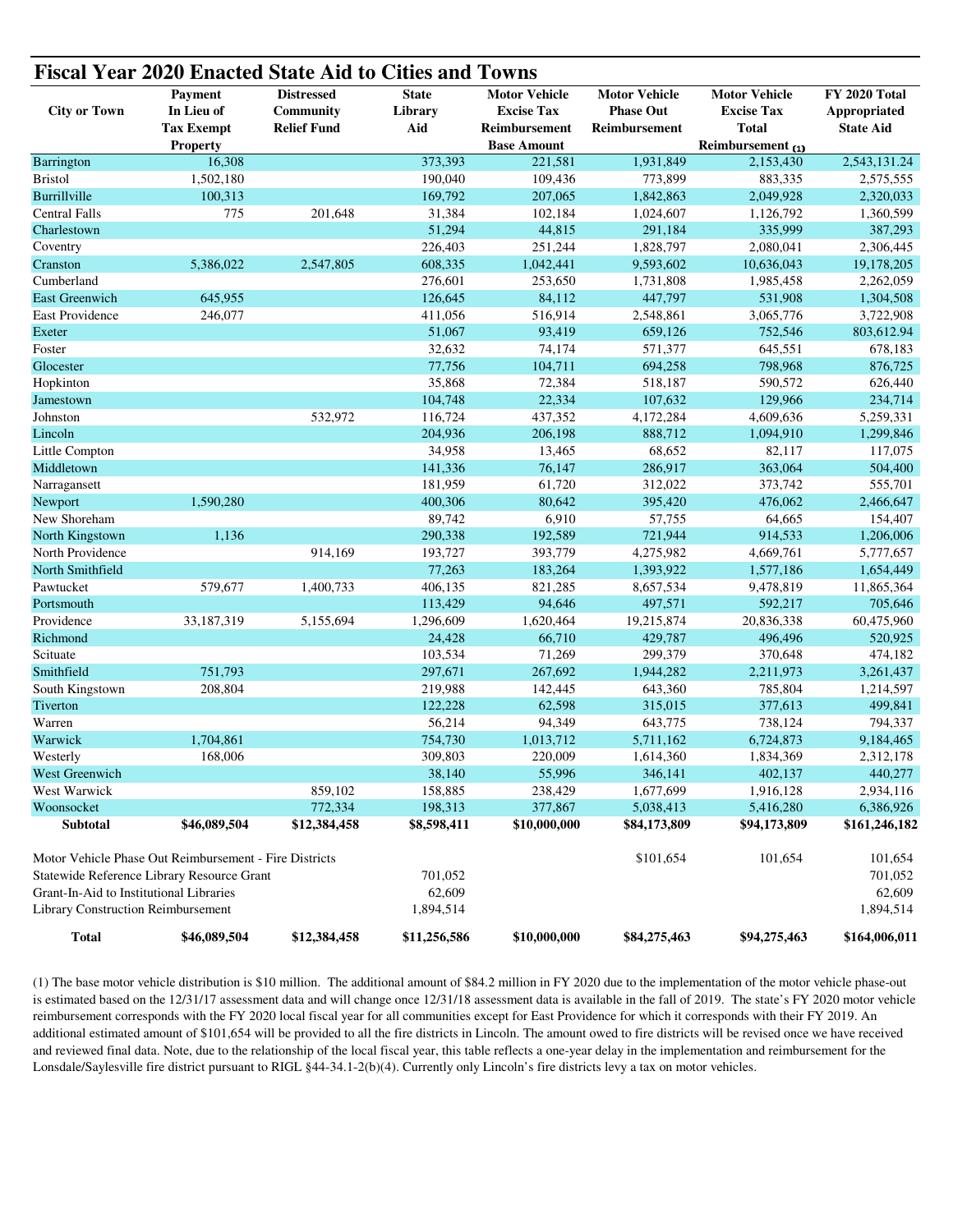| <b>Fiscal Year 2020 Enacted State Aid to Cities and Towns</b> |                                                        |                    |              |                      |                      |                      |                  |  |  |  |  |
|---------------------------------------------------------------|--------------------------------------------------------|--------------------|--------------|----------------------|----------------------|----------------------|------------------|--|--|--|--|
|                                                               | <b>Payment</b>                                         | <b>Distressed</b>  | <b>State</b> | <b>Motor Vehicle</b> | <b>Motor Vehicle</b> | <b>Motor Vehicle</b> | FY 2020 Total    |  |  |  |  |
| <b>City or Town</b>                                           | In Lieu of                                             | Community          | Library      | <b>Excise Tax</b>    | <b>Phase Out</b>     | <b>Excise Tax</b>    | Appropriated     |  |  |  |  |
|                                                               | <b>Tax Exempt</b>                                      | <b>Relief Fund</b> | Aid          | Reimbursement        | Reimbursement        | <b>Total</b>         | <b>State Aid</b> |  |  |  |  |
|                                                               | <b>Property</b>                                        |                    |              | <b>Base Amount</b>   |                      | Reimbursement (1)    |                  |  |  |  |  |
| <b>Barrington</b>                                             | 16,308                                                 |                    | 373,393      | 221,581              | 1,931,849            | 2,153,430            | 2,543,131.24     |  |  |  |  |
| <b>Bristol</b>                                                | 1,502,180                                              |                    | 190,040      | 109,436              | 773,899              | 883,335              | 2,575,555        |  |  |  |  |
| Burrillville                                                  | 100,313                                                |                    | 169,792      | 207,065              | 1,842,863            | 2,049,928            | 2,320,033        |  |  |  |  |
| <b>Central Falls</b>                                          | 775                                                    | 201,648            | 31,384       | 102,184              | 1,024,607            | 1,126,792            | 1,360,599        |  |  |  |  |
| Charlestown                                                   |                                                        |                    | 51,294       | 44,815               | 291,184              | 335,999              | 387,293          |  |  |  |  |
| Coventry                                                      |                                                        |                    | 226,403      | 251,244              | 1,828,797            | 2,080,041            | 2,306,445        |  |  |  |  |
| Cranston                                                      | 5,386,022                                              | 2,547,805          | 608,335      | 1,042,441            | 9,593,602            | 10,636,043           | 19,178,205       |  |  |  |  |
| Cumberland                                                    |                                                        |                    | 276,601      | 253,650              | 1,731,808            | 1,985,458            | 2,262,059        |  |  |  |  |
| <b>East Greenwich</b>                                         | 645,955                                                |                    | 126,645      | 84,112               | 447,797              | 531,908              | 1,304,508        |  |  |  |  |
| East Providence                                               | 246,077                                                |                    | 411,056      | 516,914              | 2,548,861            | 3,065,776            | 3,722,908        |  |  |  |  |
| Exeter                                                        |                                                        |                    | 51,067       | 93,419               | 659,126              | 752,546              | 803,612.94       |  |  |  |  |
| Foster                                                        |                                                        |                    | 32,632       | 74,174               | 571,377              | 645,551              | 678,183          |  |  |  |  |
| Glocester                                                     |                                                        |                    | 77,756       | 104,711              | 694,258              | 798,968              | 876,725          |  |  |  |  |
| Hopkinton                                                     |                                                        |                    | 35,868       | 72,384               | 518,187              | 590,572              | 626,440          |  |  |  |  |
| Jamestown                                                     |                                                        |                    | 104,748      | 22,334               | 107,632              | 129,966              | 234,714          |  |  |  |  |
| Johnston                                                      |                                                        | 532,972            | 116,724      | 437,352              | 4,172,284            | 4,609,636            | 5,259,331        |  |  |  |  |
| Lincoln                                                       |                                                        |                    | 204,936      | 206,198              | 888,712              | 1,094,910            | 1,299,846        |  |  |  |  |
| Little Compton                                                |                                                        |                    | 34,958       | 13,465               | 68,652               | 82,117               | 117,075          |  |  |  |  |
| Middletown                                                    |                                                        |                    | 141,336      | 76,147               | 286,917              | 363,064              | 504,400          |  |  |  |  |
| Narragansett                                                  |                                                        |                    | 181,959      | 61,720               | 312,022              | 373,742              | 555,701          |  |  |  |  |
| Newport                                                       | 1,590,280                                              |                    | 400,306      | 80,642               | 395,420              | 476,062              | 2,466,647        |  |  |  |  |
| New Shoreham                                                  |                                                        |                    | 89,742       | 6,910                | 57,755               | 64,665               | 154,407          |  |  |  |  |
| North Kingstown                                               | 1,136                                                  |                    | 290,338      | 192,589              | 721,944              | 914,533              | 1,206,006        |  |  |  |  |
| North Providence                                              |                                                        | 914,169            | 193,727      | 393,779              | 4,275,982            | 4,669,761            | 5,777,657        |  |  |  |  |
| North Smithfield                                              |                                                        |                    | 77,263       | 183,264              | 1,393,922            | 1,577,186            | 1,654,449        |  |  |  |  |
| Pawtucket                                                     | 579,677                                                | 1,400,733          | 406,135      | 821,285              | 8,657,534            | 9,478,819            | 11,865,364       |  |  |  |  |
| Portsmouth                                                    |                                                        |                    | 113,429      | 94,646               | 497,571              | 592,217              | 705,646          |  |  |  |  |
| Providence                                                    | 33,187,319                                             | 5,155,694          | 1,296,609    | 1,620,464            | 19,215,874           | 20,836,338           | 60,475,960       |  |  |  |  |
| Richmond                                                      |                                                        |                    | 24,428       | 66,710               | 429,787              | 496,496              | 520,925          |  |  |  |  |
| Scituate                                                      |                                                        |                    | 103,534      | 71,269               | 299,379              | 370,648              | 474,182          |  |  |  |  |
| Smithfield                                                    | 751,793                                                |                    | 297,671      | 267,692              | 1,944,282            | 2,211,973            | 3,261,437        |  |  |  |  |
| South Kingstown                                               | 208,804                                                |                    | 219,988      | 142,445              | 643,360              | 785,804              | 1,214,597        |  |  |  |  |
| Tiverton                                                      |                                                        |                    | 122,228      | 62,598               | 315,015              | 377,613              | 499,841          |  |  |  |  |
| Warren                                                        |                                                        |                    | 56,214       | 94,349               | 643,775              | 738,124              | 794,337          |  |  |  |  |
| Warwick                                                       | 1,704,861                                              |                    | 754,730      | 1,013,712            | 5,711,162            | 6,724,873            | 9,184,465        |  |  |  |  |
| Westerly                                                      | 168,006                                                |                    | 309,803      | 220,009              | 1,614,360            | 1,834,369            | 2.312.178        |  |  |  |  |
| West Greenwich                                                |                                                        |                    | 38,140       | 55,996               | 346,141              | 402,137              | 440,277          |  |  |  |  |
| West Warwick                                                  |                                                        | 859,102            | 158,885      | 238,429              | 1,677,699            | 1,916,128            | 2,934,116        |  |  |  |  |
| Woonsocket                                                    |                                                        | 772,334            | 198,313      | 377,867              | 5,038,413            | 5,416,280            | 6,386,926        |  |  |  |  |
| <b>Subtotal</b>                                               | \$46,089,504                                           | \$12,384,458       | \$8,598,411  | \$10,000,000         | \$84,173,809         | \$94,173,809         | \$161,246,182    |  |  |  |  |
|                                                               | Motor Vehicle Phase Out Reimbursement - Fire Districts |                    |              |                      | \$101,654            | 101,654              | 101,654          |  |  |  |  |
|                                                               | Statewide Reference Library Resource Grant             |                    | 701,052      |                      |                      |                      | 701,052          |  |  |  |  |
| Grant-In-Aid to Institutional Libraries                       |                                                        |                    | 62,609       |                      |                      |                      | 62,609           |  |  |  |  |
| Library Construction Reimbursement                            |                                                        |                    | 1,894,514    |                      |                      |                      | 1,894,514        |  |  |  |  |
| <b>Total</b>                                                  | \$46,089,504                                           | \$12,384,458       | \$11,256,586 | \$10,000,000         | \$84,275,463         | \$94,275,463         | \$164,006,011    |  |  |  |  |

(1) The base motor vehicle distribution is \$10 million. The additional amount of \$84.2 million in FY 2020 due to the implementation of the motor vehicle phase-out is estimated based on the 12/31/17 assessment data and will change once 12/31/18 assessment data is available in the fall of 2019. The state's FY 2020 motor vehicle reimbursement corresponds with the FY 2020 local fiscal year for all communities except for East Providence for which it corresponds with their FY 2019. An additional estimated amount of \$101,654 will be provided to all the fire districts in Lincoln. The amount owed to fire districts will be revised once we have received and reviewed final data. Note, due to the relationship of the local fiscal year, this table reflects a one-year delay in the implementation and reimbursement for the Lonsdale/Saylesville fire district pursuant to RIGL §44-34.1-2(b)(4). Currently only Lincoln's fire districts levy a tax on motor vehicles.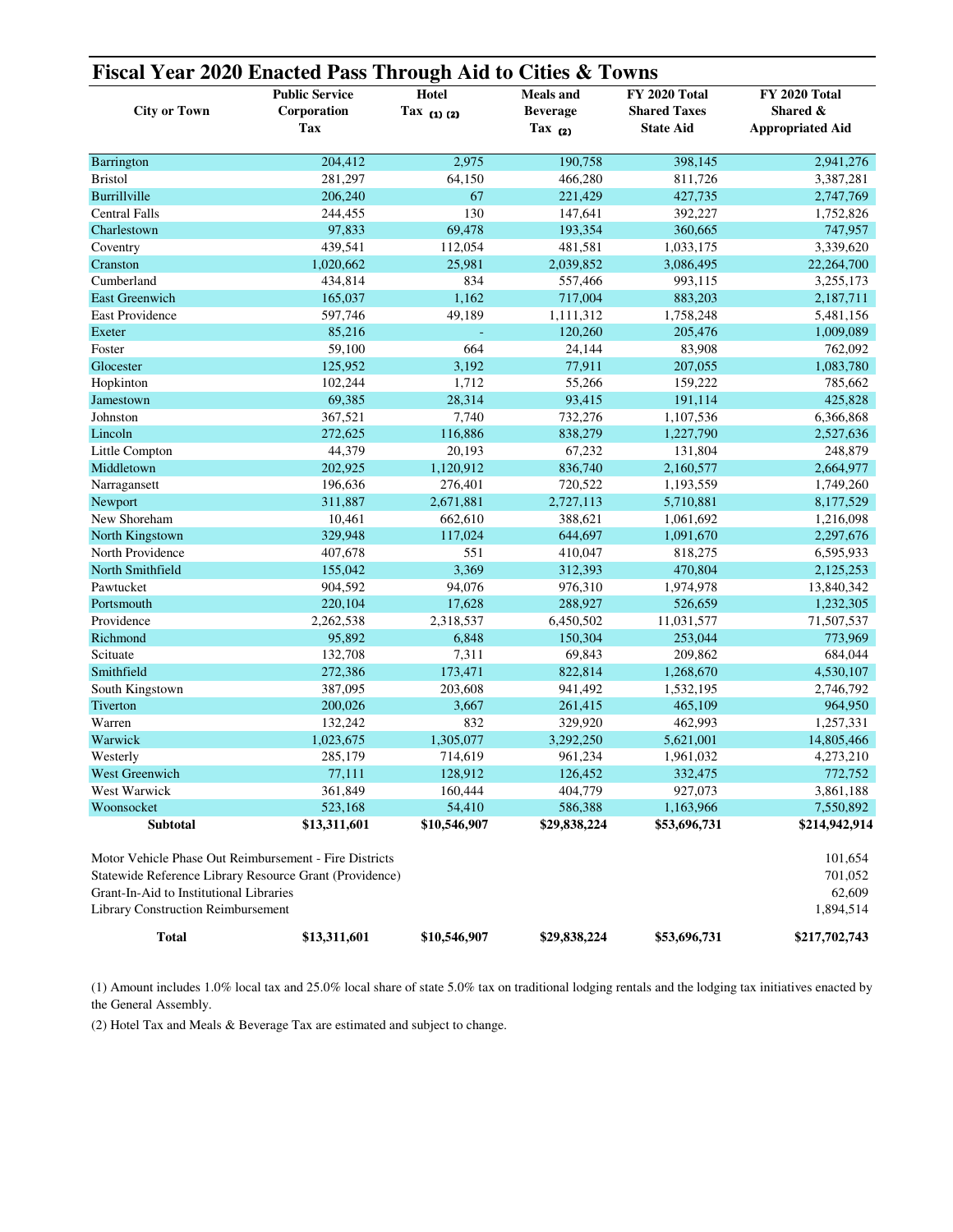| Fiscal Year 2020 Enacted Pass Through Aid to Cities & Towns | <b>Public Service</b> | Hotel           | <b>Meals</b> and | <b>FY 2020 Total</b> | FY 2020 Total           |
|-------------------------------------------------------------|-----------------------|-----------------|------------------|----------------------|-------------------------|
| <b>City or Town</b>                                         | Corporation           | Tax $(1)$ $(2)$ | <b>Beverage</b>  | <b>Shared Taxes</b>  | Shared &                |
|                                                             | Tax                   |                 | Tax $(2)$        | <b>State Aid</b>     | <b>Appropriated Aid</b> |
| Barrington                                                  | 204,412               | 2,975           | 190,758          | 398,145              | 2,941,276               |
| <b>Bristol</b>                                              | 281,297               | 64,150          | 466,280          | 811,726              | 3,387,281               |
| <b>Burrillville</b>                                         | 206,240               | 67              | 221,429          | 427,735              | 2,747,769               |
| <b>Central Falls</b>                                        | 244,455               | 130             | 147,641          | 392,227              | 1,752,826               |
| Charlestown                                                 | 97,833                | 69,478          | 193,354          | 360,665              | 747,957                 |
| Coventry                                                    | 439,541               | 112,054         | 481,581          | 1,033,175            | 3,339,620               |
| Cranston                                                    | 1,020,662             | 25,981          | 2,039,852        | 3,086,495            | 22,264,700              |
| Cumberland                                                  | 434,814               | 834             | 557,466          | 993,115              | 3,255,173               |
| East Greenwich                                              | 165,037               | 1,162           | 717,004          | 883,203              | 2,187,711               |
| East Providence                                             | 597,746               | 49,189          | 1,111,312        | 1,758,248            | 5,481,156               |
| Exeter                                                      | 85,216                |                 | 120,260          | 205,476              | 1,009,089               |
| Foster                                                      | 59,100                | 664             | 24,144           | 83,908               | 762,092                 |
| Glocester                                                   | 125,952               | 3,192           | 77,911           | 207,055              | 1,083,780               |
| Hopkinton                                                   | 102,244               | 1,712           | 55,266           | 159,222              | 785,662                 |
| Jamestown                                                   | 69,385                | 28,314          | 93,415           | 191,114              | 425,828                 |
| Johnston                                                    | 367,521               | 7,740           | 732,276          | 1,107,536            | 6,366,868               |
| Lincoln                                                     | 272,625               | 116,886         | 838,279          | 1,227,790            | 2,527,636               |
| Little Compton                                              | 44,379                | 20,193          | 67,232           | 131,804              | 248,879                 |
| Middletown                                                  | 202,925               | 1,120,912       | 836,740          | 2,160,577            | 2,664,977               |
| Narragansett                                                | 196,636               | 276,401         | 720,522          | 1,193,559            | 1,749,260               |
| Newport                                                     | 311,887               | 2,671,881       | 2,727,113        | 5,710,881            | 8,177,529               |
| New Shoreham                                                | 10,461                | 662,610         | 388,621          | 1,061,692            | 1,216,098               |
| North Kingstown                                             | 329,948               | 117,024         | 644,697          | 1,091,670            | 2,297,676               |
| North Providence                                            | 407,678               | 551             | 410,047          | 818,275              | 6,595,933               |
| North Smithfield                                            | 155,042               | 3,369           | 312,393          | 470,804              | 2,125,253               |
| Pawtucket                                                   | 904,592               | 94,076          | 976,310          | 1,974,978            | 13,840,342              |
| Portsmouth                                                  | 220,104               | 17,628          | 288,927          | 526,659              | 1,232,305               |
| Providence                                                  | 2,262,538             | 2,318,537       | 6,450,502        | 11,031,577           | 71,507,537              |
| Richmond                                                    | 95,892                | 6,848           | 150,304          | 253,044              | 773,969                 |
| Scituate                                                    | 132,708               | 7,311           | 69,843           | 209,862              | 684,044                 |
| Smithfield                                                  | 272,386               | 173,471         | 822,814          | 1,268,670            | 4,530,107               |
| South Kingstown                                             | 387,095               | 203,608         | 941,492          | 1,532,195            | 2,746,792               |
| Tiverton                                                    | 200,026               | 3,667           | 261,415          | 465,109              | 964,950                 |
| Warren                                                      | 132,242               | 832             | 329,920          | 462,993              | 1,257,331               |
| Warwick                                                     | 1,023,675             | 1,305,077       | 3,292,250        | 5,621,001            | 14,805,466              |
| Westerly                                                    | 285,179               | 714,619         | 961,234          | 1,961,032            | 4,273,210               |
| West Greenwich                                              | 77,111                | 128,912         | 126,452          | 332,475              | 772,752                 |
| West Warwick                                                | 361,849               | 160,444         | 404,779          | 927,073              | 3,861,188               |
| Woonsocket                                                  | 523,168               | 54,410          | 586,388          | 1,163,966            | 7,550,892               |
| <b>Subtotal</b>                                             | \$13,311,601          | \$10,546,907    | \$29,838,224     | \$53,696,731         | \$214,942,914           |
| Motor Vehicle Phase Out Reimbursement - Fire Districts      |                       |                 |                  |                      | 101,654                 |
| Statewide Reference Library Resource Grant (Providence)     |                       |                 |                  |                      | 701,052                 |
| Grant-In-Aid to Institutional Libraries                     |                       |                 |                  |                      | 62,609                  |
| <b>Library Construction Reimbursement</b>                   |                       |                 |                  |                      | 1,894,514               |
| <b>Total</b>                                                | \$13,311,601          | \$10,546,907    | \$29,838,224     | \$53,696,731         | \$217,702,743           |

(1) Amount includes 1.0% local tax and 25.0% local share of state 5.0% tax on traditional lodging rentals and the lodging tax initiatives enacted by the General Assembly.

(2) Hotel Tax and Meals & Beverage Tax are estimated and subject to change.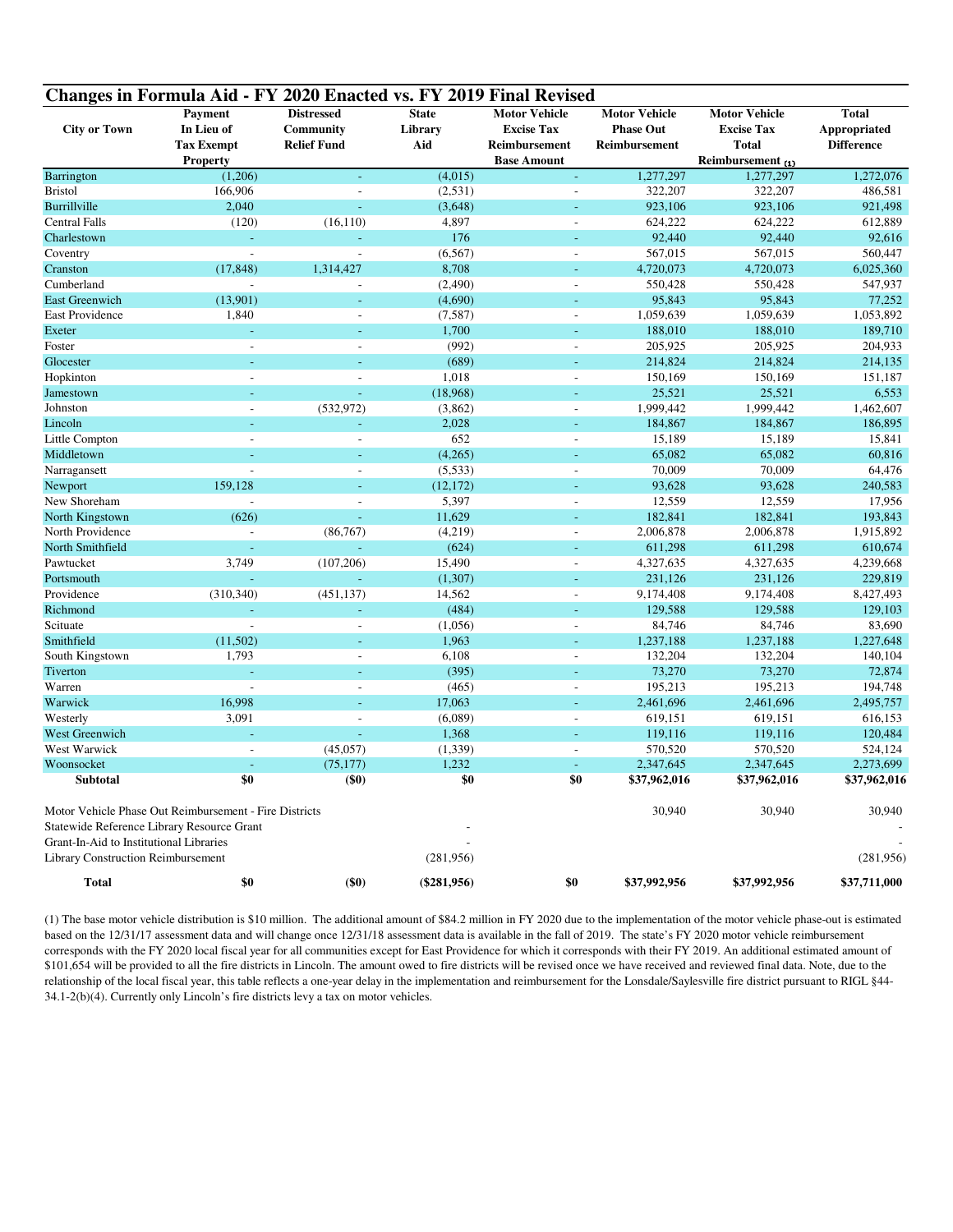|                                                                               | Changes in Formula Aid - FY 2020 Enacted vs. FY 2019 Final Revised                                   |                                                      |                                |                                                            |                                                           |                                                    |                                                   |
|-------------------------------------------------------------------------------|------------------------------------------------------------------------------------------------------|------------------------------------------------------|--------------------------------|------------------------------------------------------------|-----------------------------------------------------------|----------------------------------------------------|---------------------------------------------------|
| <b>City or Town</b>                                                           | <b>Payment</b><br>In Lieu of<br><b>Tax Exempt</b>                                                    | <b>Distressed</b><br>Community<br><b>Relief Fund</b> | <b>State</b><br>Library<br>Aid | <b>Motor Vehicle</b><br><b>Excise Tax</b><br>Reimbursement | <b>Motor Vehicle</b><br><b>Phase Out</b><br>Reimbursement | <b>Motor Vehicle</b><br><b>Excise Tax</b><br>Total | <b>Total</b><br>Appropriated<br><b>Difference</b> |
|                                                                               | Property                                                                                             |                                                      |                                | <b>Base Amount</b>                                         |                                                           | Reimbursement (1)                                  |                                                   |
| Barrington                                                                    | (1,206)                                                                                              | L,                                                   | (4,015)                        | L,                                                         | 1,277,297                                                 | 1,277,297                                          | 1,272,076                                         |
| <b>Bristol</b>                                                                | 166,906                                                                                              | $\overline{\phantom{a}}$                             | (2,531)                        | $\sim$                                                     | 322,207                                                   | 322,207                                            | 486,581                                           |
| Burrillville                                                                  | 2,040                                                                                                | $\omega$                                             | (3,648)                        | ÷                                                          | 923,106                                                   | 923,106                                            | 921,498                                           |
| <b>Central Falls</b>                                                          | (120)                                                                                                | (16, 110)                                            | 4,897                          | $\overline{\phantom{a}}$                                   | 624,222                                                   | 624,222                                            | 612,889                                           |
| Charlestown                                                                   | L.                                                                                                   |                                                      | 176                            |                                                            | 92,440                                                    | 92,440                                             | 92,616                                            |
| Coventry                                                                      | $\mathbb{Z}^2$                                                                                       | $\overline{a}$                                       | (6, 567)                       | $\sim$                                                     | 567,015                                                   | 567,015                                            | 560,447                                           |
| Cranston                                                                      | (17, 848)                                                                                            | 1,314,427                                            | 8,708                          | L,                                                         | 4,720,073                                                 | 4,720,073                                          | 6,025,360                                         |
| Cumberland                                                                    | $\overline{a}$                                                                                       |                                                      | (2,490)                        | Ĭ.                                                         | 550,428                                                   | 550,428                                            | 547,937                                           |
| <b>East Greenwich</b>                                                         | (13,901)                                                                                             | L.                                                   | (4,690)                        | ÷.                                                         | 95,843                                                    | 95,843                                             | 77,252                                            |
| <b>East Providence</b>                                                        | 1,840                                                                                                | $\overline{a}$                                       | (7, 587)                       | $\overline{\phantom{a}}$                                   | 1,059,639                                                 | 1,059,639                                          | 1,053,892                                         |
| Exeter                                                                        |                                                                                                      |                                                      | 1,700                          |                                                            | 188,010                                                   | 188,010                                            | 189,710                                           |
| Foster                                                                        | $\sim$                                                                                               |                                                      | (992)                          | $\overline{\phantom{a}}$                                   | 205,925                                                   | 205,925                                            | 204,933                                           |
| Glocester                                                                     | ÷,                                                                                                   |                                                      | (689)                          | $\sim$                                                     | 214,824                                                   | 214,824                                            | 214,135                                           |
| Hopkinton                                                                     | $\overline{\phantom{a}}$                                                                             | L,                                                   | 1,018                          | $\sim$                                                     | 150,169                                                   | 150,169                                            | 151,187                                           |
| Jamestown                                                                     |                                                                                                      | L                                                    | (18,968)                       |                                                            | 25,521                                                    | 25,521                                             | 6,553                                             |
| Johnston                                                                      | L,                                                                                                   | (532, 972)                                           | (3,862)                        | $\overline{\phantom{a}}$                                   | 1,999,442                                                 | 1,999,442                                          | 1,462,607                                         |
| Lincoln                                                                       |                                                                                                      | L.                                                   | 2,028                          | u,                                                         | 184,867                                                   | 184,867                                            | 186,895                                           |
| Little Compton                                                                | L,                                                                                                   |                                                      | 652                            | $\sim$                                                     | 15,189                                                    | 15,189                                             | 15,841                                            |
| Middletown                                                                    |                                                                                                      |                                                      | (4,265)                        |                                                            | 65,082                                                    | 65,082                                             | 60,816                                            |
| Narragansett                                                                  | $\sim$                                                                                               | $\overline{a}$                                       | (5,533)                        | $\sim$                                                     | 70,009                                                    | 70,009                                             | 64,476                                            |
| Newport                                                                       | 159,128                                                                                              | L.                                                   | (12, 172)                      | ÷.                                                         | 93,628                                                    | 93,628                                             | 240,583                                           |
| New Shoreham                                                                  | $\overline{a}$                                                                                       | $\overline{a}$                                       | 5,397                          | $\overline{\phantom{a}}$                                   | 12,559                                                    | 12,559                                             | 17,956                                            |
| North Kingstown                                                               | (626)                                                                                                | L,                                                   | 11,629                         |                                                            | 182,841                                                   | 182,841                                            | 193,843                                           |
| North Providence                                                              | $\overline{a}$                                                                                       | (86, 767)                                            | (4,219)                        | $\sim$                                                     | 2,006,878                                                 | 2,006,878                                          | 1,915,892                                         |
| North Smithfield                                                              |                                                                                                      |                                                      | (624)                          |                                                            | 611,298                                                   | 611,298                                            | 610,674                                           |
| Pawtucket                                                                     | 3,749                                                                                                | (107, 206)                                           | 15,490                         | $\sim$                                                     | 4,327,635                                                 | 4,327,635                                          | 4,239,668                                         |
| Portsmouth                                                                    |                                                                                                      |                                                      | (1,307)                        | ÷.                                                         | 231,126                                                   | 231,126                                            | 229,819                                           |
| Providence                                                                    | (310, 340)                                                                                           | (451, 137)                                           | 14,562                         | $\sim$                                                     | 9,174,408                                                 | 9,174,408                                          | 8,427,493                                         |
| Richmond                                                                      |                                                                                                      | L                                                    | (484)                          |                                                            | 129,588                                                   | 129,588                                            | 129,103                                           |
| Scituate                                                                      | $\overline{\phantom{a}}$                                                                             | $\overline{a}$                                       | (1,056)                        | $\overline{\phantom{a}}$                                   | 84,746                                                    | 84,746                                             | 83.690                                            |
| Smithfield                                                                    | (11,502)                                                                                             | ÷                                                    | 1,963                          | ÷                                                          | 1,237,188                                                 | 1,237,188                                          | 1,227,648                                         |
| South Kingstown                                                               | 1,793                                                                                                |                                                      | 6,108                          | $\overline{\phantom{a}}$                                   | 132,204                                                   | 132,204                                            | 140,104                                           |
| Tiverton                                                                      |                                                                                                      |                                                      | (395)                          |                                                            | 73,270                                                    | 73,270                                             | 72,874                                            |
| Warren                                                                        | $\sim$                                                                                               | $\overline{a}$                                       | (465)                          | $\overline{\phantom{a}}$                                   | 195,213                                                   | 195,213                                            | 194,748                                           |
| Warwick                                                                       | 16,998                                                                                               | L.                                                   | 17,063                         | ÷                                                          | 2,461,696                                                 | 2,461,696                                          | 2,495,757                                         |
| Westerly                                                                      | 3,091                                                                                                | $\overline{a}$                                       | (6,089)                        | $\overline{\phantom{a}}$                                   | 619,151                                                   | 619,151                                            | 616,153                                           |
| West Greenwich                                                                |                                                                                                      | L                                                    | 1,368                          |                                                            | 119,116                                                   | 119,116                                            | 120,484                                           |
| West Warwick                                                                  | $\overline{a}$                                                                                       | (45,057)                                             | (1, 339)                       | $\overline{a}$                                             | 570,520                                                   | 570,520                                            | 524,124                                           |
| Woonsocket                                                                    | ÷,                                                                                                   | (75, 177)                                            | 1,232                          | $\mathbf{r}$                                               | 2,347,645                                                 | 2,347,645                                          | 2,273,699                                         |
| <b>Subtotal</b>                                                               | \$0                                                                                                  | $(\$0)$                                              | \$0                            | \$0                                                        | \$37,962,016                                              | \$37,962,016                                       | \$37,962,016                                      |
|                                                                               | Motor Vehicle Phase Out Reimbursement - Fire Districts<br>Statewide Reference Library Resource Grant |                                                      |                                |                                                            | 30,940                                                    | 30,940                                             | 30,940                                            |
| Grant-In-Aid to Institutional Libraries<br>Library Construction Reimbursement |                                                                                                      |                                                      | (281,956)                      |                                                            |                                                           |                                                    | (281, 956)                                        |
| <b>Total</b>                                                                  | \$0                                                                                                  | $(\$0)$                                              | $(\$281,956)$                  | \$0                                                        | \$37,992,956                                              | \$37,992,956                                       | \$37,711,000                                      |

(1) The base motor vehicle distribution is \$10 million. The additional amount of \$84.2 million in FY 2020 due to the implementation of the motor vehicle phase-out is estimated based on the 12/31/17 assessment data and will change once 12/31/18 assessment data is available in the fall of 2019. The state's FY 2020 motor vehicle reimbursement corresponds with the FY 2020 local fiscal year for all communities except for East Providence for which it corresponds with their FY 2019. An additional estimated amount of \$101,654 will be provided to all the fire districts in Lincoln. The amount owed to fire districts will be revised once we have received and reviewed final data. Note, due to the relationship of the local fiscal year, this table reflects a one-year delay in the implementation and reimbursement for the Lonsdale/Saylesville fire district pursuant to RIGL §44- 34.1-2(b)(4). Currently only Lincoln's fire districts levy a tax on motor vehicles.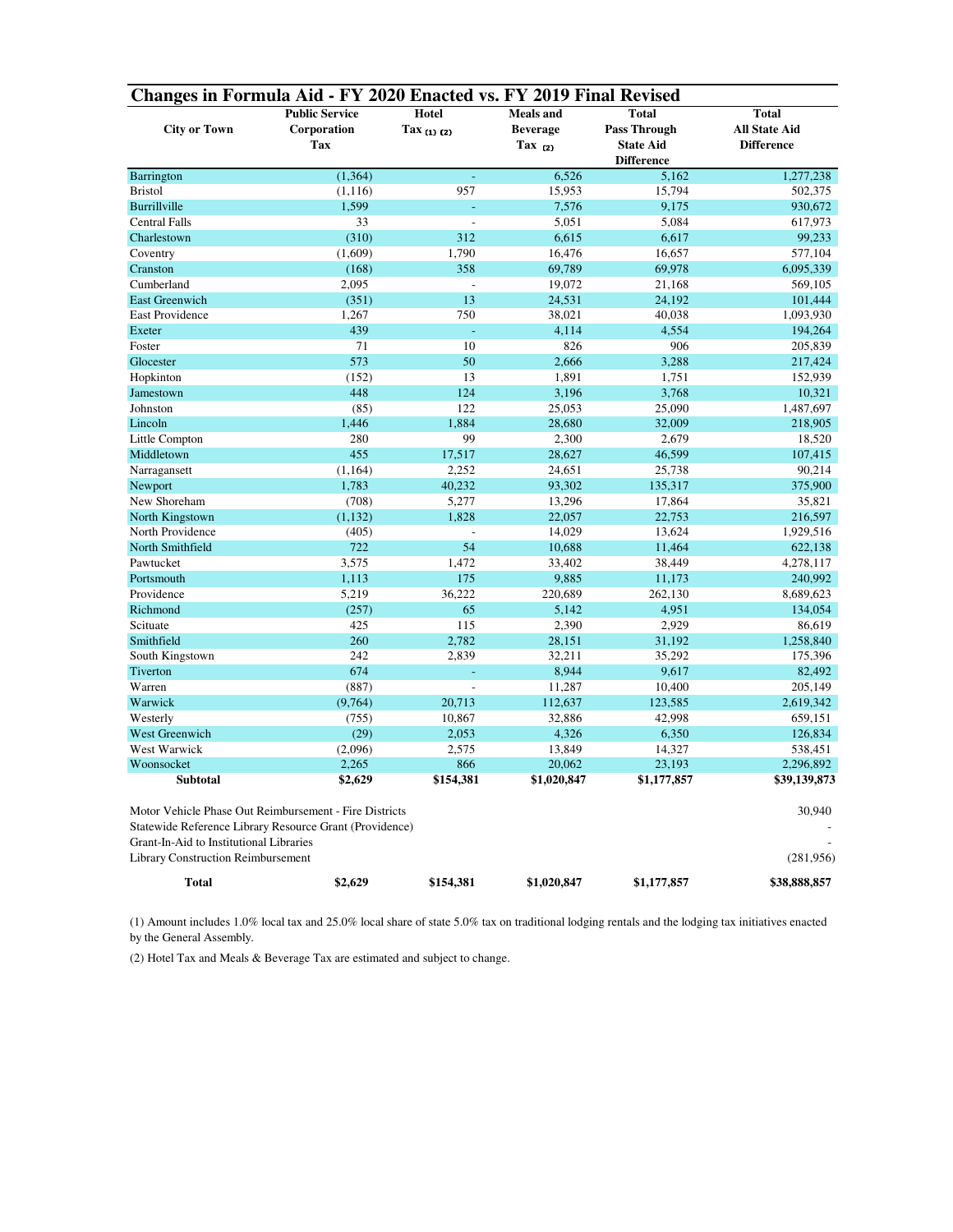| Changes in Formula Aid - FY 2020 Enacted vs. FY 2019 Final Revised                                                |                       |                      |                  |                     |                      |  |  |  |  |  |
|-------------------------------------------------------------------------------------------------------------------|-----------------------|----------------------|------------------|---------------------|----------------------|--|--|--|--|--|
|                                                                                                                   | <b>Public Service</b> | <b>Hotel</b>         | <b>Meals</b> and | <b>Total</b>        | <b>Total</b>         |  |  |  |  |  |
| <b>City or Town</b>                                                                                               | Corporation           | Tax $(1)$ $(2)$      | <b>Beverage</b>  | <b>Pass Through</b> | <b>All State Aid</b> |  |  |  |  |  |
|                                                                                                                   | <b>Tax</b>            |                      | Tax $(2)$        | <b>State Aid</b>    | <b>Difference</b>    |  |  |  |  |  |
|                                                                                                                   |                       |                      |                  | <b>Difference</b>   |                      |  |  |  |  |  |
| Barrington                                                                                                        | (1, 364)              | L                    | 6,526            | 5,162               | 1,277,238            |  |  |  |  |  |
| <b>Bristol</b>                                                                                                    | (1, 116)              | 957                  | 15,953           | 15,794              | 502,375              |  |  |  |  |  |
| <b>Burrillville</b>                                                                                               | 1,599                 | L,                   | 7,576            | 9,175               | 930,672              |  |  |  |  |  |
| <b>Central Falls</b>                                                                                              | 33                    | $\overline{a}$       | 5,051            | 5,084               | 617,973              |  |  |  |  |  |
| Charlestown                                                                                                       | (310)                 | 312                  | 6,615            | 6,617               | 99,233               |  |  |  |  |  |
| Coventry                                                                                                          | (1,609)               | 1,790                | 16,476           | 16,657              | 577,104              |  |  |  |  |  |
| Cranston                                                                                                          | (168)                 | 358                  | 69,789           | 69,978              | 6,095,339            |  |  |  |  |  |
| Cumberland                                                                                                        | 2,095                 | $\overline{a}$       | 19,072           | 21,168              | 569,105              |  |  |  |  |  |
| <b>East Greenwich</b>                                                                                             | (351)                 | 13                   | 24,531           | 24,192              | 101,444              |  |  |  |  |  |
| <b>East Providence</b>                                                                                            | 1,267                 | 750                  | 38,021           | 40,038              | 1,093,930            |  |  |  |  |  |
| Exeter                                                                                                            | 439                   | L,                   | 4,114            | 4,554               | 194,264              |  |  |  |  |  |
| Foster                                                                                                            | 71                    | 10                   | 826              | 906                 | 205,839              |  |  |  |  |  |
| Glocester                                                                                                         | 573                   | 50                   | 2,666            | 3,288               | 217,424              |  |  |  |  |  |
| Hopkinton                                                                                                         | (152)                 | 13                   | 1,891            | 1,751               | 152,939              |  |  |  |  |  |
| Jamestown                                                                                                         | 448                   | 124                  | 3,196            | 3,768               | 10,321               |  |  |  |  |  |
| Johnston                                                                                                          | (85)                  | 122                  | 25,053           | 25,090              | 1,487,697            |  |  |  |  |  |
| Lincoln                                                                                                           | 1,446                 | 1,884                | 28,680           | 32,009              | 218,905              |  |  |  |  |  |
| Little Compton                                                                                                    | 280                   | 99                   | 2,300            | 2,679               | 18,520               |  |  |  |  |  |
| Middletown                                                                                                        | 455                   | 17,517               | 28,627           | 46,599              | 107,415              |  |  |  |  |  |
| Narragansett                                                                                                      | (1, 164)              | 2,252                | 24,651           | 25,738              | 90,214               |  |  |  |  |  |
| Newport                                                                                                           | 1,783                 | 40,232               | 93,302           | 135,317             | 375,900              |  |  |  |  |  |
| New Shoreham                                                                                                      | (708)                 | 5,277                | 13,296           | 17,864              | 35,821               |  |  |  |  |  |
| North Kingstown                                                                                                   | (1, 132)              | 1,828                | 22,057           | 22,753              | 216,597              |  |  |  |  |  |
| North Providence                                                                                                  | (405)                 | $\overline{a}$<br>54 | 14,029           | 13,624              | 1,929,516            |  |  |  |  |  |
| North Smithfield<br>Pawtucket                                                                                     | 722<br>3,575          | 1,472                | 10,688           | 11,464              | 622,138              |  |  |  |  |  |
| Portsmouth                                                                                                        | 1,113                 | 175                  | 33,402<br>9,885  | 38,449<br>11,173    | 4,278,117<br>240,992 |  |  |  |  |  |
| Providence                                                                                                        | 5,219                 | 36,222               | 220,689          | 262,130             | 8,689,623            |  |  |  |  |  |
| Richmond                                                                                                          | (257)                 | 65                   | 5,142            | 4,951               | 134,054              |  |  |  |  |  |
| Scituate                                                                                                          | 425                   | 115                  | 2,390            | 2,929               | 86,619               |  |  |  |  |  |
| Smithfield                                                                                                        | 260                   | 2,782                | 28,151           | 31,192              | 1,258,840            |  |  |  |  |  |
| South Kingstown                                                                                                   | 242                   | 2,839                | 32,211           | 35,292              | 175,396              |  |  |  |  |  |
| Tiverton                                                                                                          | 674                   | L,                   | 8,944            | 9,617               | 82,492               |  |  |  |  |  |
| Warren                                                                                                            | (887)                 | $\overline{a}$       | 11,287           | 10,400              | 205,149              |  |  |  |  |  |
| Warwick                                                                                                           | (9,764)               | 20,713               | 112,637          | 123,585             | 2,619,342            |  |  |  |  |  |
| Westerly                                                                                                          | (755)                 | 10,867               | 32,886           | 42,998              | 659,151              |  |  |  |  |  |
| <b>West Greenwich</b>                                                                                             | (29)                  | 2,053                | 4,326            | 6,350               | 126,834              |  |  |  |  |  |
| West Warwick                                                                                                      | (2,096)               | 2,575                | 13,849           | 14,327              | 538,451              |  |  |  |  |  |
| Woonsocket                                                                                                        | 2,265                 | 866                  | 20,062           | 23,193              | 2,296,892            |  |  |  |  |  |
| <b>Subtotal</b>                                                                                                   | \$2,629               | \$154,381            | \$1,020,847      | \$1,177,857         | \$39,139,873         |  |  |  |  |  |
|                                                                                                                   |                       |                      |                  |                     |                      |  |  |  |  |  |
| Motor Vehicle Phase Out Reimbursement - Fire Districts<br>Statewide Reference Library Resource Grant (Providence) |                       |                      |                  |                     | 30,940               |  |  |  |  |  |
| Grant-In-Aid to Institutional Libraries                                                                           |                       |                      |                  |                     |                      |  |  |  |  |  |
| <b>Library Construction Reimbursement</b>                                                                         |                       |                      |                  |                     | (281, 956)           |  |  |  |  |  |
| Total                                                                                                             | \$2,629               | \$154,381            | \$1,020,847      | \$1,177,857         | \$38,888,857         |  |  |  |  |  |

(1) Amount includes 1.0% local tax and 25.0% local share of state 5.0% tax on traditional lodging rentals and the lodging tax initiatives enacted by the General Assembly.

(2) Hotel Tax and Meals & Beverage Tax are estimated and subject to change.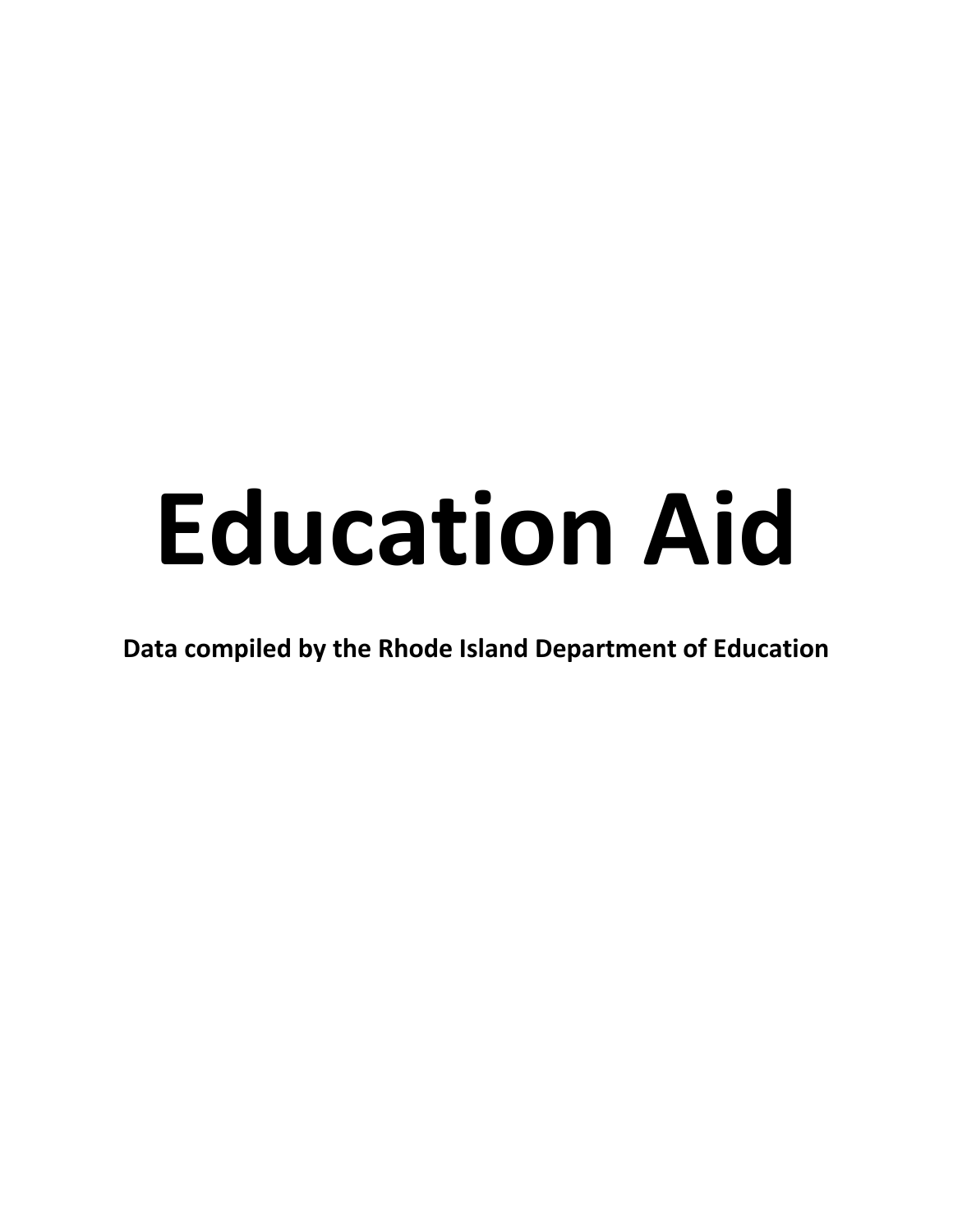## **Education Aid**

**Data compiled by the Rhode Island Department of Education**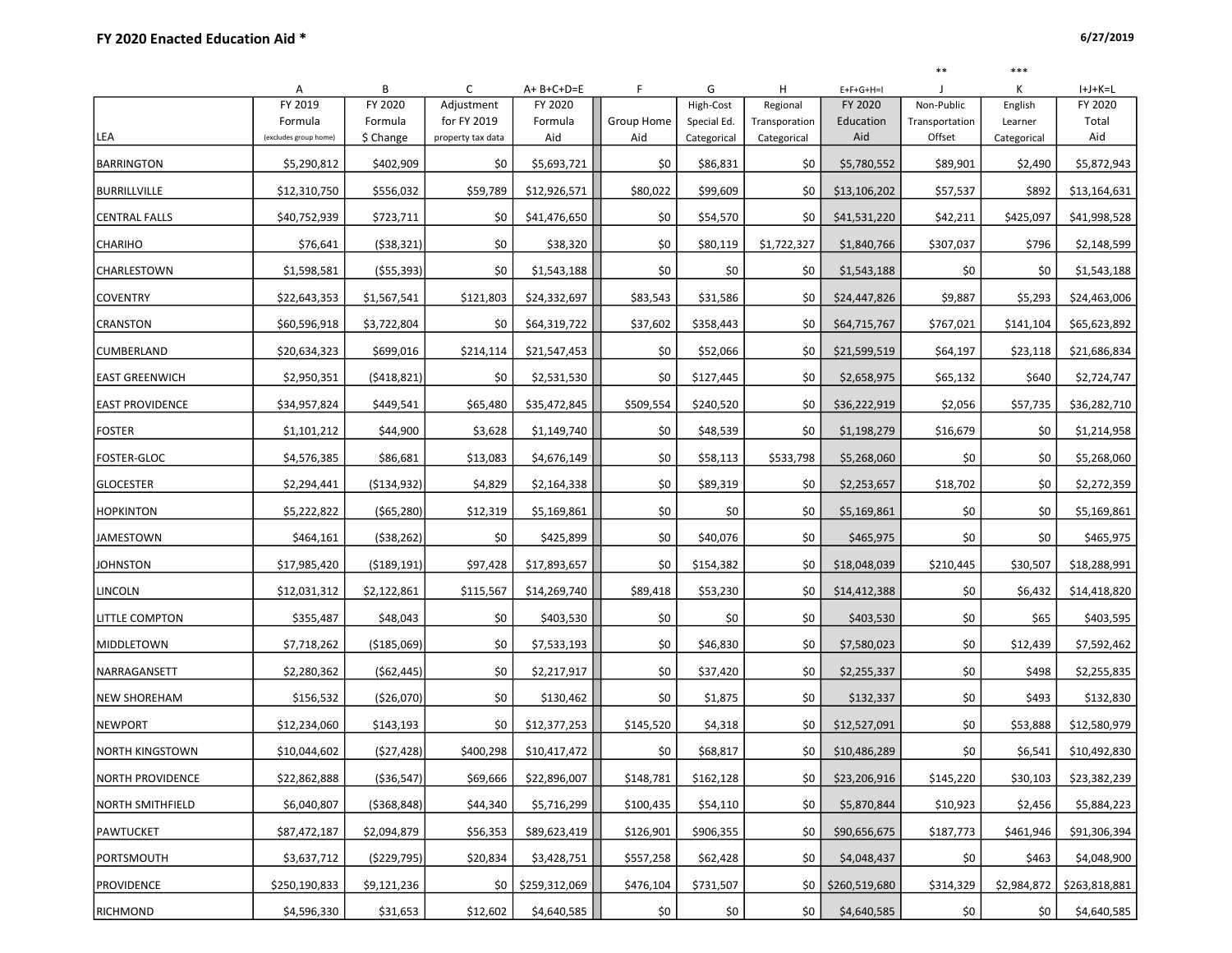\*\* \*\*\*

|                         | Α                                | В             | C                 | $A + B + C + D = E$     | F          | G           | H             | $E+F+G+H=I$   |                          | Κ           | $I+J+K=L$     |
|-------------------------|----------------------------------|---------------|-------------------|-------------------------|------------|-------------|---------------|---------------|--------------------------|-------------|---------------|
|                         | FY 2019                          | FY 2020       | Adjustment        | FY 2020                 |            | High-Cost   | Regional      | FY 2020       | Non-Public               | English     | FY 2020       |
|                         | Formula<br>(excludes group home) | Formula       | for FY 2019       | Formula                 | Group Home | Special Ed. | Transporation | Education     | Transportation<br>Offset | Learner     | Total         |
| LEA                     |                                  | \$ Change     | property tax data | Aid                     | Aid        | Categorical | Categorical   | Aid           |                          | Categorical | Aid           |
| <b>BARRINGTON</b>       | \$5,290,812                      | \$402,909     | \$0               | \$5,693,721             | \$0        | \$86,831    | \$0           | \$5,780,552   | \$89.901                 | \$2,490     | \$5,872,943   |
| <b>BURRILLVILLE</b>     | \$12,310,750                     | \$556,032     | \$59,789          | \$12,926,571            | \$80,022   | \$99,609    | \$0           | \$13,106,202  | \$57,537                 | \$892       | \$13,164,631  |
| <b>CENTRAL FALLS</b>    | \$40,752,939                     | \$723,711     | \$0               | \$41,476,650            | \$0        | \$54,570    | \$0           | \$41,531,220  | \$42,211                 | \$425,097   | \$41,998,528  |
| <b>CHARIHO</b>          | \$76,641                         | (538, 321)    | \$0               | \$38,320                | \$0        | \$80,119    | \$1,722,327   | \$1,840,766   | \$307,037                | \$796       | \$2,148,599   |
| CHARLESTOWN             | \$1,598,581                      | (555, 393)    | \$0               | \$1,543,188             | \$0        | \$0         | \$0           | \$1,543,188   | \$0                      | \$0         | \$1,543,188   |
| <b>COVENTRY</b>         | \$22,643,353                     | \$1,567,541   | \$121,803         | \$24,332,697            | \$83,543   | \$31,586    | \$0           | \$24,447,826  | \$9,887                  | \$5,293     | \$24,463,006  |
| CRANSTON                | \$60,596,918                     | \$3,722,804   | \$0               | \$64,319,722            | \$37,602   | \$358,443   | \$0           | \$64,715,767  | \$767,021                | \$141,104   | \$65,623,892  |
| <b>CUMBERLAND</b>       | \$20,634,323                     | \$699,016     | \$214,114         | \$21,547,453            | \$0        | \$52,066    | \$0           | \$21,599,519  | \$64,197                 | \$23,118    | \$21,686,834  |
| <b>EAST GREENWICH</b>   | \$2,950,351                      | (5418, 821)   | \$0               | \$2,531,530             | \$0        | \$127,445   | \$0           | \$2,658,975   | \$65,132                 | \$640       | \$2,724,747   |
| <b>EAST PROVIDENCE</b>  | \$34,957,824                     | \$449,541     | \$65,480          | \$35,472,845            | \$509,554  | \$240,520   | \$0           | \$36,222,919  | \$2,056                  | \$57,735    | \$36,282,710  |
| <b>FOSTER</b>           | \$1,101,212                      | \$44,900      | \$3,628           | \$1,149,740             | \$0        | \$48,539    | \$0           | \$1,198,279   | \$16,679                 | \$0         | \$1,214,958   |
| <b>FOSTER-GLOC</b>      | \$4,576,385                      | \$86,681      | \$13,083          | \$4,676,149             | \$0        | \$58,113    | \$533,798     | \$5,268,060   | \$0                      | \$0         | \$5,268,060   |
| <b>GLOCESTER</b>        | \$2,294,441                      | ( \$134, 932) | \$4,829           | \$2,164,338             | \$0        | \$89,319    | \$0           | \$2,253,657   | \$18,702                 | \$0         | \$2,272,359   |
| <b>HOPKINTON</b>        | \$5,222,822                      | ( \$65, 280]  | \$12,319          | \$5,169,861             | \$0        | \$0         | \$0           | \$5,169,861   | \$0                      | \$0         | \$5,169,861   |
| <b>JAMESTOWN</b>        | \$464,161                        | (538, 262)    | \$0               | \$425,899               | \$0        | \$40,076    | \$0           | \$465,975     | \$0                      | \$0         | \$465,975     |
| <b>JOHNSTON</b>         | \$17,985,420                     | ( \$189, 191) | \$97,428          | \$17,893,657            | \$0        | \$154,382   | \$0           | \$18,048,039  | \$210,445                | \$30,507    | \$18,288,991  |
| <b>LINCOLN</b>          | \$12,031,312                     | \$2,122,861   | \$115,567         | \$14,269,740            | \$89,418   | \$53,230    | \$0           | \$14,412,388  | \$0                      | \$6,432     | \$14,418,820  |
| <b>LITTLE COMPTON</b>   | \$355,487                        | \$48,043      | \$0               | \$403,530               | \$0        | \$0         | \$0           | \$403,530     | \$0                      | \$65        | \$403,595     |
| MIDDLETOWN              | \$7,718,262                      | ( \$185,069)  | \$0               | \$7,533,193             | \$0        | \$46,830    | \$0           | \$7,580,023   | \$0                      | \$12,439    | \$7,592,462   |
| NARRAGANSETT            | \$2,280,362                      | (562, 445)    | \$0               | \$2,217,917             | \$0        | \$37,420    | \$0           | \$2,255,337   | \$0                      | \$498       | \$2,255,835   |
| <b>NEW SHOREHAM</b>     | \$156,532                        | (\$26,070)    | \$0               | \$130,462               | \$0        | \$1,875     | \$0           | \$132,337     | \$0                      | \$493       | \$132,830     |
| <b>NEWPORT</b>          | \$12,234,060                     | \$143,193     | \$0               | \$12,377,253            | \$145,520  | \$4,318     | \$0           | \$12,527,091  | \$0                      | \$53,888    | \$12,580,979  |
| <b>NORTH KINGSTOWN</b>  | \$10,044,602                     | (527, 428)    | \$400,298         | \$10,417,472            | \$0        | \$68,817    | \$0           | \$10,486,289  | \$0                      | \$6,541     | \$10,492,830  |
| NORTH PROVIDENCE        | \$22,862,888                     | ( \$36, 547]  |                   | $$69,666$ $$22,896,007$ | \$148,781  | \$162,128   | \$0           | \$23,206,916  | \$145,220                | \$30,103    | \$23,382,239  |
| <b>NORTH SMITHFIELD</b> | \$6,040,807                      | ( \$368, 848] | \$44,340          | \$5,716,299             | \$100,435  | \$54,110    | \$0           | \$5,870,844   | \$10,923                 | \$2,456     | \$5,884,223   |
| <b>PAWTUCKET</b>        | \$87,472,187                     | \$2,094,879   | \$56,353          | \$89,623,419            | \$126,901  | \$906,355   | \$0           | \$90,656,675  | \$187,773                | \$461,946   | \$91,306,394  |
| PORTSMOUTH              | \$3,637,712                      | ( \$229, 795) | \$20,834          | \$3,428,751             | \$557,258  | \$62,428    | \$0           | \$4,048,437   | \$0                      | \$463       | \$4,048,900   |
| <b>PROVIDENCE</b>       | \$250,190,833                    | \$9,121,236   | \$0               | \$259,312,069           | \$476,104  | \$731,507   | \$0           | \$260,519,680 | \$314,329                | \$2,984,872 | \$263,818,881 |
| RICHMOND                | \$4,596,330                      | \$31,653      | \$12,602          | \$4,640,585             | \$0        | \$0         | \$0           | \$4,640,585   | \$0                      | \$0         | \$4,640,585   |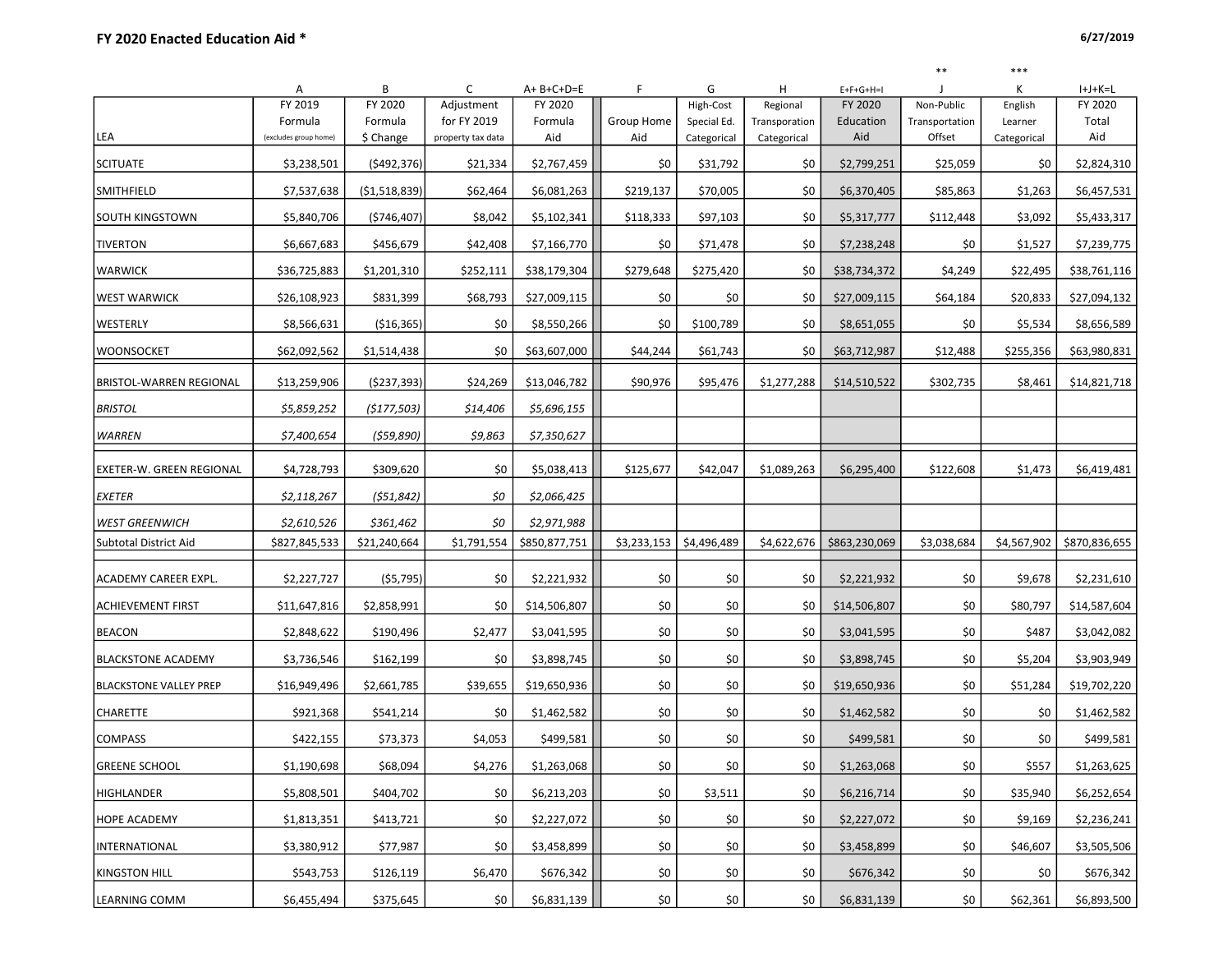\*\* \*\*\*

|                                 | Α                     | В             | C                 | A+B+C+D=E     | F           | G           | H             | $E+F+G+H=I$   | $\mathbf{J}$   | Κ           | $I+J+K=L$     |
|---------------------------------|-----------------------|---------------|-------------------|---------------|-------------|-------------|---------------|---------------|----------------|-------------|---------------|
|                                 | FY 2019               | FY 2020       | Adjustment        | FY 2020       |             | High-Cost   | Regional      | FY 2020       | Non-Public     | English     | FY 2020       |
|                                 | Formula               | Formula       | for FY 2019       | Formula       | Group Home  | Special Ed. | Transporation | Education     | Transportation | Learner     | Total         |
| LEA                             | (excludes group home) | \$ Change     | property tax data | Aid           | Aid         | Categorical | Categorical   | Aid           | Offset         | Categorical | Aid           |
| <b>SCITUATE</b>                 | \$3,238,501           | ( \$492, 376) | \$21,334          | \$2,767,459   | \$0         | \$31,792    | \$0           | \$2,799,251   | \$25,059       | \$0         | \$2,824,310   |
| SMITHFIELD                      | \$7,537,638           | (\$1,518,839) | \$62,464          | \$6,081,263   | \$219,137   | \$70,005    | \$0           | \$6,370,405   | \$85,863       | \$1,263     | \$6,457,531   |
| <b>SOUTH KINGSTOWN</b>          | \$5,840,706           | ( \$746, 407) | \$8,042           | \$5,102,341   | \$118,333   | \$97,103    | \$0           | \$5,317,777   | \$112,448      | \$3,092     | \$5,433,317   |
| <b>TIVERTON</b>                 | \$6,667,683           | \$456,679     | \$42,408          | \$7,166,770   | \$0         | \$71,478    | \$0           | \$7,238,248   | \$0            | \$1,527     | \$7,239,775   |
| <b>WARWICK</b>                  | \$36,725,883          | \$1,201,310   | \$252,111         | \$38,179,304  | \$279,648   | \$275,420   | \$0           | \$38,734,372  | \$4,249        | \$22,495    | \$38,761,116  |
| <b>WEST WARWICK</b>             | \$26,108,923          | \$831,399     | \$68,793          | \$27,009,115  | \$0         | \$0         | \$0           | \$27,009,115  | \$64,184       | \$20,833    | \$27,094,132  |
| WESTERLY                        | \$8,566,631           | ( \$16, 365)  | \$0               | \$8,550,266   | \$0         | \$100,789   | \$0           | \$8,651,055   | \$0            | \$5,534     | \$8,656,589   |
| <b>WOONSOCKET</b>               | \$62,092,562          | \$1,514,438   | \$0               | \$63,607,000  | \$44,244    | \$61,743    | \$0           | \$63,712,987  | \$12,488       | \$255,356   | \$63,980,831  |
| <b>BRISTOL-WARREN REGIONAL</b>  | \$13,259,906          | (5237, 393)   | \$24,269          | \$13,046,782  | \$90,976    | \$95,476    | \$1,277,288   | \$14,510,522  | \$302,735      | \$8,461     | \$14,821,718  |
| <b>BRISTOL</b>                  | \$5,859,252           | (5177,503)    | \$14,406          | \$5,696,155   |             |             |               |               |                |             |               |
| <b>WARREN</b>                   | \$7,400,654           | (559, 890)    | \$9,863           | \$7,350,627   |             |             |               |               |                |             |               |
| <b>EXETER-W. GREEN REGIONAL</b> | \$4,728,793           | \$309,620     | \$0               | \$5,038,413   | \$125,677   | \$42,047    | \$1,089,263   | \$6,295,400   | \$122,608      | \$1,473     | \$6,419,481   |
| <b>EXETER</b>                   | \$2,118,267           | (551, 842)    | \$0               | \$2,066,425   |             |             |               |               |                |             |               |
| <b>WEST GREENWICH</b>           | \$2,610,526           | \$361,462     | \$0               | \$2,971,988   |             |             |               |               |                |             |               |
| <b>Subtotal District Aid</b>    | \$827,845,533         | \$21,240,664  | \$1,791,554       | \$850,877,751 | \$3,233,153 | \$4,496,489 | \$4,622,676   | \$863,230,069 | \$3,038,684    | \$4,567,902 | \$870,836,655 |
|                                 |                       |               |                   |               |             |             |               |               |                |             |               |
| <b>ACADEMY CAREER EXPL.</b>     | \$2,227,727           | (55, 795)     | \$0               | \$2,221,932   | \$0         | \$0         | \$0           | \$2,221,932   | \$0            | \$9,678     | \$2,231,610   |
| <b>ACHIEVEMENT FIRST</b>        | \$11,647,816          | \$2,858,991   | \$0               | \$14,506,807  | \$0         | \$0         | \$0           | \$14,506,807  | \$0            | \$80,797    | \$14,587,604  |
| <b>BEACON</b>                   | \$2,848,622           | \$190,496     | \$2,477           | \$3,041,595   | \$0         | \$0         | \$0           | \$3,041,595   | \$0            | \$487       | \$3,042,082   |
| <b>BLACKSTONE ACADEMY</b>       | \$3,736,546           | \$162,199     | \$0               | \$3,898,745   | \$0         | \$0         | \$0           | \$3,898,745   | \$0            | \$5,204     | \$3,903,949   |
| <b>BLACKSTONE VALLEY PREP</b>   | \$16,949,496          | \$2,661,785   | \$39,655          | \$19,650,936  | \$0         | \$0         | \$0           | \$19,650,936  | \$0            | \$51,284    | \$19,702,220  |
| <b>CHARETTE</b>                 | \$921,368             | \$541,214     | \$0               | \$1,462,582   | \$0         | \$0         | \$0           | \$1,462,582   | \$0            | \$0         | \$1,462,582   |
| <b>COMPASS</b>                  | \$422,155             | \$73,373      | \$4,053           | \$499,581     | \$0         | \$0         | \$0           | \$499,581     | \$0            | \$0         | \$499,581     |
| <b>GREENE SCHOOL</b>            | \$1,190,698           | \$68,094      | \$4,276           | \$1,263,068   | \$0         | \$0         | \$0           | \$1,263,068   | \$0            | \$557       | \$1,263,625   |
| <b>HIGHLANDER</b>               | \$5,808,501           | \$404,702     | \$0               | \$6,213,203   | \$0         | \$3,511     | \$0           | \$6,216,714   | \$0            | \$35,940    | \$6,252,654   |
| <b>HOPE ACADEMY</b>             | \$1,813,351           | \$413,721     | \$0               | \$2,227,072   | \$0         | \$0         | \$0           | \$2,227,072   | \$0            | \$9,169     | \$2,236,241   |
| INTERNATIONAL                   | \$3,380,912           | \$77,987      | \$0               | \$3,458,899   | \$0         | \$0         | \$0           | \$3,458,899   | \$0            | \$46,607    | \$3,505,506   |
| <b>KINGSTON HILL</b>            | \$543,753             | \$126,119     | \$6,470           | \$676,342     | \$0         | \$0         | \$0           | \$676,342     | \$0            | \$0         | \$676,342     |
| <b>LEARNING COMM</b>            | \$6,455,494           | \$375,645     | \$0               | \$6,831,139   | \$0         | \$0         | \$0           | \$6,831,139   | \$0            | \$62,361    | \$6,893,500   |